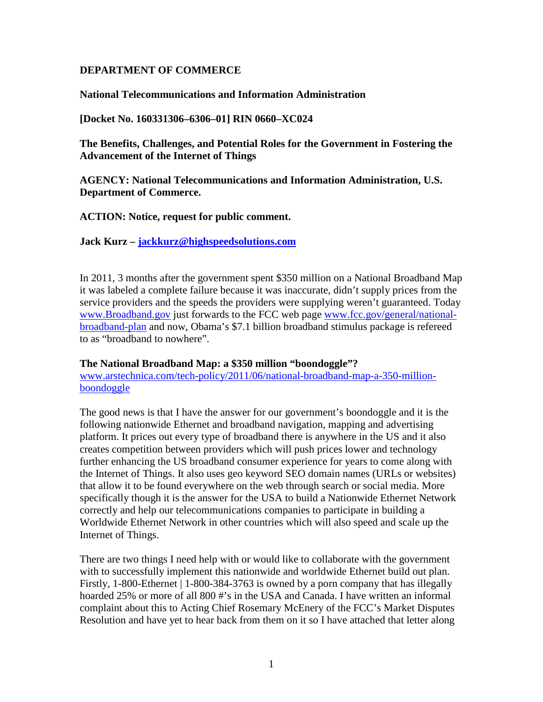### **DEPARTMENT OF COMMERCE**

**National Telecommunications and Information Administration**

**[Docket No. 160331306–6306–01] RIN 0660–XC024**

**The Benefits, Challenges, and Potential Roles for the Government in Fostering the Advancement of the Internet of Things**

**AGENCY: National Telecommunications and Information Administration, U.S. Department of Commerce.**

**ACTION: Notice, request for public comment.**

**Jack Kurz – [jackkurz@highspeedsolutions.com](mailto:jackkurz@highspeedsolutions.com)**

In 2011, 3 months after the government spent \$350 million on a National Broadband Map it was labeled a complete failure because it was inaccurate, didn't supply prices from the service providers and the speeds the providers were supplying weren't guaranteed. Today [www.Broadband.gov](http://www.broadband.gov/) just forwards to the FCC web page [www.fcc.gov/general/national](http://www.fcc.gov/general/national-broadband-plan)[broadband-plan](http://www.fcc.gov/general/national-broadband-plan) and now, Obama's \$7.1 billion broadband stimulus package is refereed to as "broadband to nowhere".

### **The National Broadband Map: a \$350 million "boondoggle"?**

[www.arstechnica.com/tech-policy/2011/06/national-broadband-map-a-350-million](http://www.arstechnica.com/tech-policy/2011/06/national-broadband-map-a-350-million-boondoggle)[boondoggle](http://www.arstechnica.com/tech-policy/2011/06/national-broadband-map-a-350-million-boondoggle)

The good news is that I have the answer for our government's boondoggle and it is the following nationwide Ethernet and broadband navigation, mapping and advertising platform. It prices out every type of broadband there is anywhere in the US and it also creates competition between providers which will push prices lower and technology further enhancing the US broadband consumer experience for years to come along with the Internet of Things. It also uses geo keyword SEO domain names (URLs or websites) that allow it to be found everywhere on the web through search or social media. More specifically though it is the answer for the USA to build a Nationwide Ethernet Network correctly and help our telecommunications companies to participate in building a Worldwide Ethernet Network in other countries which will also speed and scale up the Internet of Things.

There are two things I need help with or would like to collaborate with the government with to successfully implement this nationwide and worldwide Ethernet build out plan. Firstly, 1-800-Ethernet | 1-800-384-3763 is owned by a porn company that has illegally hoarded 25% or more of all 800 #'s in the USA and Canada. I have written an informal complaint about this to Acting Chief Rosemary McEnery of the FCC's Market Disputes Resolution and have yet to hear back from them on it so I have attached that letter along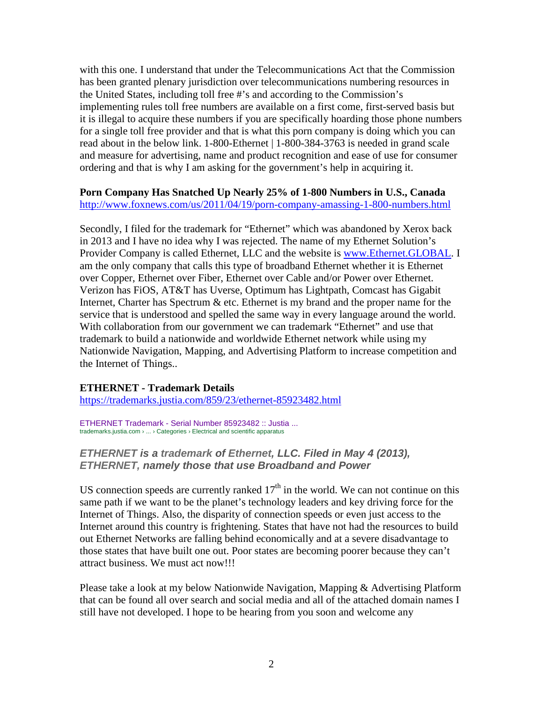with this one. I understand that under the Telecommunications Act that the Commission has been granted plenary jurisdiction over telecommunications numbering resources in the United States, including toll free #'s and according to the Commission's implementing rules toll free numbers are available on a first come, first-served basis but it is illegal to acquire these numbers if you are specifically hoarding those phone numbers for a single toll free provider and that is what this porn company is doing which you can read about in the below link. 1-800-Ethernet | 1-800-384-3763 is needed in grand scale and measure for advertising, name and product recognition and ease of use for consumer ordering and that is why I am asking for the government's help in acquiring it.

### **Porn Company Has Snatched Up Nearly 25% of 1-800 Numbers in U.S., Canada** <http://www.foxnews.com/us/2011/04/19/porn-company-amassing-1-800-numbers.html>

Secondly, I filed for the trademark for "Ethernet" which was abandoned by Xerox back in 2013 and I have no idea why I was rejected. The name of my Ethernet Solution's Provider Company is called Ethernet, LLC and the website is [www.Ethernet.GLOBAL.](http://www.ethernet.global/) I am the only company that calls this type of broadband Ethernet whether it is Ethernet over Copper, Ethernet over Fiber, Ethernet over Cable and/or Power over Ethernet. Verizon has FiOS, AT&T has Uverse, Optimum has Lightpath, Comcast has Gigabit Internet, Charter has Spectrum  $\&$  etc. Ethernet is my brand and the proper name for the service that is understood and spelled the same way in every language around the world. With collaboration from our government we can trademark "Ethernet" and use that trademark to build a nationwide and worldwide Ethernet network while using my Nationwide Navigation, Mapping, and Advertising Platform to increase competition and the Internet of Things..

### **ETHERNET - Trademark Details**

<https://trademarks.justia.com/859/23/ethernet-85923482.html>

ETHERNET Trademark - [Serial Number 85923482 :: Justia ...](https://trademarks.justia.com/859/23/ethernet-85923482.html) trademarks.justia.com › ... › Categories › Electrical and scientific apparatus

### *ETHERNET is a trademark of Ethernet, LLC. Filed in May 4 (2013), ETHERNET, namely those that use Broadband and Power*

US connection speeds are currently ranked  $17<sup>th</sup>$  in the world. We can not continue on this same path if we want to be the planet's technology leaders and key driving force for the Internet of Things. Also, the disparity of connection speeds or even just access to the Internet around this country is frightening. States that have not had the resources to build out Ethernet Networks are falling behind economically and at a severe disadvantage to those states that have built one out. Poor states are becoming poorer because they can't attract business. We must act now!!!

Please take a look at my below Nationwide Navigation, Mapping & Advertising Platform that can be found all over search and social media and all of the attached domain names I still have not developed. I hope to be hearing from you soon and welcome any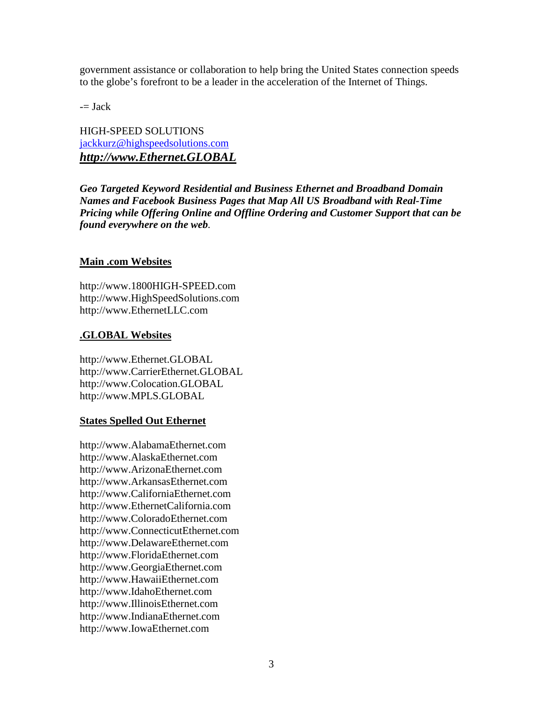government assistance or collaboration to help bring the United States connection speeds to the globe's forefront to be a leader in the acceleration of the Internet of Things.

 $=$  Jack

HIGH-SPEED SOLUTIONS [jackkurz@highspeedsolutions.com](mailto:jackkurz@highspeedsolutions.com) *[http://www.Ethernet.GLOBAL](http://www.ethernet.global/)*

*Geo Targeted Keyword Residential and Business Ethernet and Broadband Domain Names and Facebook Business Pages that Map All US Broadband with Real-Time Pricing while Offering Online and Offline Ordering and Customer Support that can be found everywhere on the web.*

### **Main .com Websites**

http://www.1800HIGH-SPEED.com http://www.HighSpeedSolutions.com http://www.EthernetLLC.com

### **.GLOBAL Websites**

http://www.Ethernet.GLOBAL http://www.CarrierEthernet.GLOBAL http://www.Colocation.GLOBAL http://www.MPLS.GLOBAL

### **States Spelled Out Ethernet**

http://www.AlabamaEthernet.com http://www.AlaskaEthernet.com http://www.ArizonaEthernet.com http://www.ArkansasEthernet.com http://www.CaliforniaEthernet.com http://www.EthernetCalifornia.com http://www.ColoradoEthernet.com http://www.ConnecticutEthernet.com http://www.DelawareEthernet.com http://www.FloridaEthernet.com http://www.GeorgiaEthernet.com http://www.HawaiiEthernet.com http://www.IdahoEthernet.com http://www.IllinoisEthernet.com http://www.IndianaEthernet.com http://www.IowaEthernet.com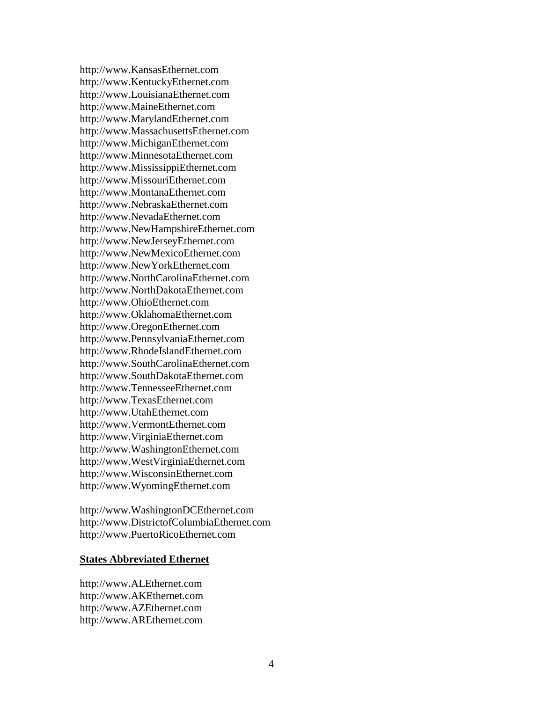http://www.KansasEthernet.com http://www.KentuckyEthernet.com http://www.LouisianaEthernet.com http://www.MaineEthernet.com http://www.MarylandEthernet.com http://www.MassachusettsEthernet.com http://www.MichiganEthernet.com http://www.MinnesotaEthernet.com http://www.MississippiEthernet.com http://www.MissouriEthernet.com http://www.MontanaEthernet.com http://www.NebraskaEthernet.com http://www.NevadaEthernet.com http://www.NewHampshireEthernet.com http://www.NewJerseyEthernet.com http://www.NewMexicoEthernet.com http://www.NewYorkEthernet.com http://www.NorthCarolinaEthernet.com http://www.NorthDakotaEthernet.com http://www.OhioEthernet.com http://www.OklahomaEthernet.com http://www.OregonEthernet.com http://www.PennsylvaniaEthernet.com http://www.RhodeIslandEthernet.com http://www.SouthCarolinaEthernet.com http://www.SouthDakotaEthernet.com http://www.TennesseeEthernet.com http://www.TexasEthernet.com http://www.UtahEthernet.com http://www.VermontEthernet.com http://www.VirginiaEthernet.com http://www.WashingtonEthernet.com http://www.WestVirginiaEthernet.com http://www.WisconsinEthernet.com http://www.WyomingEthernet.com

http://www.WashingtonDCEthernet.com http://www.DistrictofColumbiaEthernet.com http://www.PuertoRicoEthernet.com

#### **States Abbreviated Ethernet**

http://www.ALEthernet.com http://www.AKEthernet.com http://www.AZEthernet.com http://www.AREthernet.com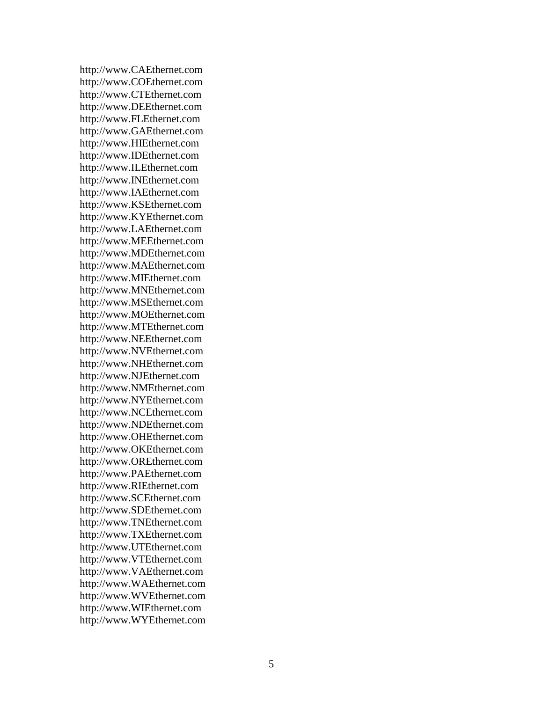http://www.CAEthernet.com http://www.COEthernet.com http://www.CTEthernet.com http://www.DEEthernet.com http://www.FLEthernet.com http://www.GAEthernet.com http://www.HIEthernet.com http://www.IDEthernet.com http://www.ILEthernet.com http://www.INEthernet.com http://www.IAEthernet.com http://www.KSEthernet.com http://www.KYEthernet.com http://www.LAEthernet.com http://www.MEEthernet.com http://www.MDEthernet.com http://www.MAEthernet.com http://www.MIEthernet.com http://www.MNEthernet.com http://www.MSEthernet.com http://www.MOEthernet.com http://www.MTEthernet.com http://www.NEEthernet.com http://www.NVEthernet.com http://www.NHEthernet.com http://www.NJEthernet.com http://www.NMEthernet.com http://www.NYEthernet.com http://www.NCEthernet.com http://www.NDEthernet.com http://www.OHEthernet.com http://www.OKEthernet.com http://www.OREthernet.com http://www.PAEthernet.com http://www.RIEthernet.com http://www.SCEthernet.com http://www.SDEthernet.com http://www.TNEthernet.com http://www.TXEthernet.com http://www.UTEthernet.com http://www.VTEthernet.com http://www.VAEthernet.com http://www.WAEthernet.com http://www.WVEthernet.com http://www.WIEthernet.com http://www.WYEthernet.com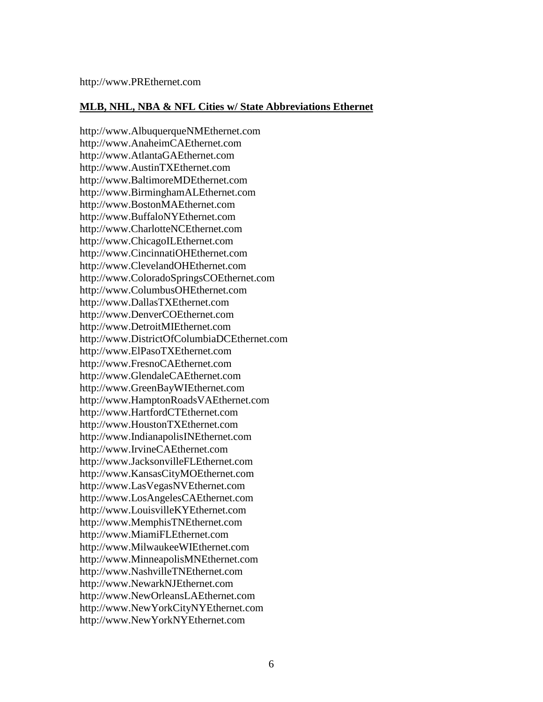#### **MLB, NHL, NBA & NFL Cities w/ State Abbreviations Ethernet**

http://www.AlbuquerqueNMEthernet.com http://www.AnaheimCAEthernet.com http://www.AtlantaGAEthernet.com http://www.AustinTXEthernet.com http://www.BaltimoreMDEthernet.com http://www.BirminghamALEthernet.com http://www.BostonMAEthernet.com http://www.BuffaloNYEthernet.com http://www.CharlotteNCEthernet.com http://www.ChicagoILEthernet.com http://www.CincinnatiOHEthernet.com http://www.ClevelandOHEthernet.com http://www.ColoradoSpringsCOEthernet.com http://www.ColumbusOHEthernet.com http://www.DallasTXEthernet.com http://www.DenverCOEthernet.com http://www.DetroitMIEthernet.com http://www.DistrictOfColumbiaDCEthernet.com http://www.ElPasoTXEthernet.com http://www.FresnoCAEthernet.com http://www.GlendaleCAEthernet.com http://www.GreenBayWIEthernet.com http://www.HamptonRoadsVAEthernet.com http://www.HartfordCTEthernet.com http://www.HoustonTXEthernet.com http://www.IndianapolisINEthernet.com http://www.IrvineCAEthernet.com http://www.JacksonvilleFLEthernet.com http://www.KansasCityMOEthernet.com http://www.LasVegasNVEthernet.com http://www.LosAngelesCAEthernet.com http://www.LouisvilleKYEthernet.com http://www.MemphisTNEthernet.com http://www.MiamiFLEthernet.com http://www.MilwaukeeWIEthernet.com http://www.MinneapolisMNEthernet.com http://www.NashvilleTNEthernet.com http://www.NewarkNJEthernet.com http://www.NewOrleansLAEthernet.com http://www.NewYorkCityNYEthernet.com http://www.NewYorkNYEthernet.com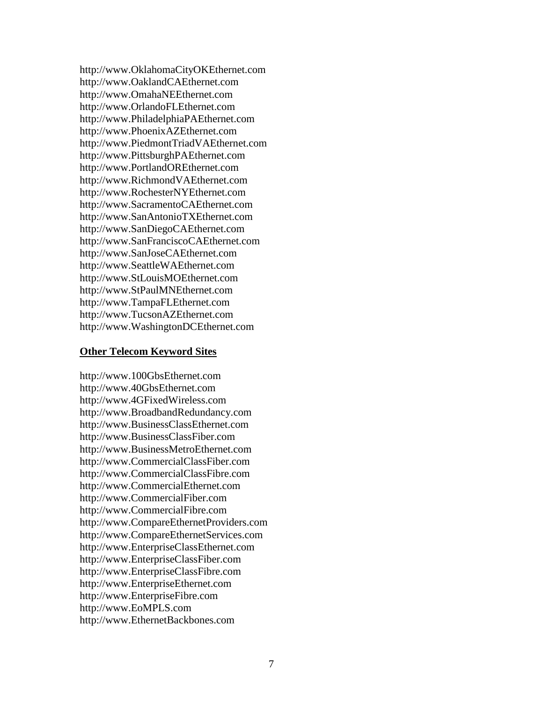http://www.OklahomaCityOKEthernet.com http://www.OaklandCAEthernet.com http://www.OmahaNEEthernet.com http://www.OrlandoFLEthernet.com http://www.PhiladelphiaPAEthernet.com http://www.PhoenixAZEthernet.com http://www.PiedmontTriadVAEthernet.com http://www.PittsburghPAEthernet.com http://www.PortlandOREthernet.com http://www.RichmondVAEthernet.com http://www.RochesterNYEthernet.com http://www.SacramentoCAEthernet.com http://www.SanAntonioTXEthernet.com http://www.SanDiegoCAEthernet.com http://www.SanFranciscoCAEthernet.com http://www.SanJoseCAEthernet.com http://www.SeattleWAEthernet.com http://www.StLouisMOEthernet.com http://www.StPaulMNEthernet.com http://www.TampaFLEthernet.com http://www.TucsonAZEthernet.com http://www.WashingtonDCEthernet.com

#### **Other Telecom Keyword Sites**

http://www.100GbsEthernet.com http://www.40GbsEthernet.com http://www.4GFixedWireless.com http://www.BroadbandRedundancy.com http://www.BusinessClassEthernet.com http://www.BusinessClassFiber.com http://www.BusinessMetroEthernet.com http://www.CommercialClassFiber.com http://www.CommercialClassFibre.com http://www.CommercialEthernet.com http://www.CommercialFiber.com http://www.CommercialFibre.com http://www.CompareEthernetProviders.com http://www.CompareEthernetServices.com http://www.EnterpriseClassEthernet.com http://www.EnterpriseClassFiber.com http://www.EnterpriseClassFibre.com http://www.EnterpriseEthernet.com http://www.EnterpriseFibre.com http://www.EoMPLS.com http://www.EthernetBackbones.com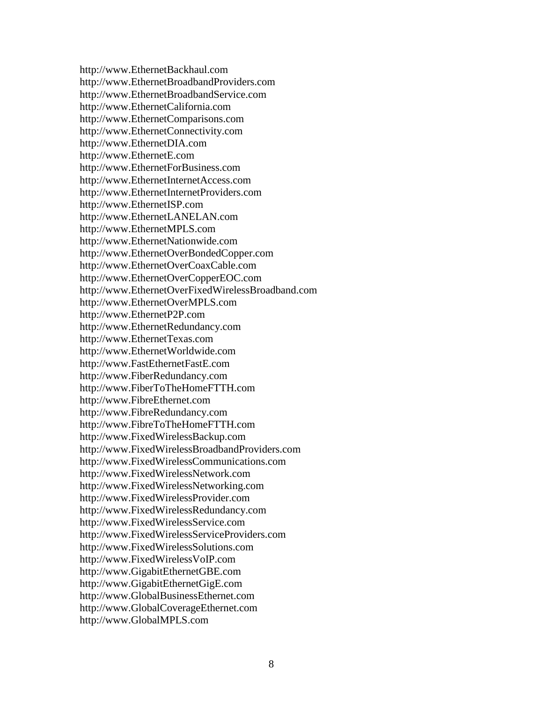http://www.EthernetBackhaul.com http://www.EthernetBroadbandProviders.com http://www.EthernetBroadbandService.com http://www.EthernetCalifornia.com http://www.EthernetComparisons.com http://www.EthernetConnectivity.com http://www.EthernetDIA.com http://www.EthernetE.com http://www.EthernetForBusiness.com http://www.EthernetInternetAccess.com http://www.EthernetInternetProviders.com http://www.EthernetISP.com http://www.EthernetLANELAN.com http://www.EthernetMPLS.com http://www.EthernetNationwide.com http://www.EthernetOverBondedCopper.com http://www.EthernetOverCoaxCable.com http://www.EthernetOverCopperEOC.com http://www.EthernetOverFixedWirelessBroadband.com http://www.EthernetOverMPLS.com http://www.EthernetP2P.com http://www.EthernetRedundancy.com http://www.EthernetTexas.com http://www.EthernetWorldwide.com http://www.FastEthernetFastE.com http://www.FiberRedundancy.com http://www.FiberToTheHomeFTTH.com http://www.FibreEthernet.com http://www.FibreRedundancy.com http://www.FibreToTheHomeFTTH.com http://www.FixedWirelessBackup.com http://www.FixedWirelessBroadbandProviders.com http://www.FixedWirelessCommunications.com http://www.FixedWirelessNetwork.com http://www.FixedWirelessNetworking.com http://www.FixedWirelessProvider.com http://www.FixedWirelessRedundancy.com http://www.FixedWirelessService.com http://www.FixedWirelessServiceProviders.com http://www.FixedWirelessSolutions.com http://www.FixedWirelessVoIP.com http://www.GigabitEthernetGBE.com http://www.GigabitEthernetGigE.com http://www.GlobalBusinessEthernet.com http://www.GlobalCoverageEthernet.com http://www.GlobalMPLS.com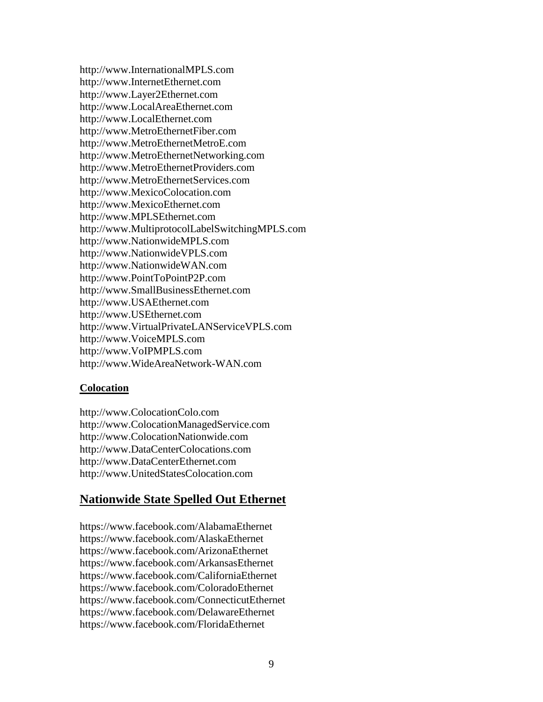http://www.InternationalMPLS.com http://www.InternetEthernet.com http://www.Layer2Ethernet.com http://www.LocalAreaEthernet.com http://www.LocalEthernet.com http://www.MetroEthernetFiber.com http://www.MetroEthernetMetroE.com http://www.MetroEthernetNetworking.com http://www.MetroEthernetProviders.com http://www.MetroEthernetServices.com http://www.MexicoColocation.com http://www.MexicoEthernet.com http://www.MPLSEthernet.com http://www.MultiprotocolLabelSwitchingMPLS.com http://www.NationwideMPLS.com http://www.NationwideVPLS.com http://www.NationwideWAN.com http://www.PointToPointP2P.com http://www.SmallBusinessEthernet.com http://www.USAEthernet.com http://www.USEthernet.com http://www.VirtualPrivateLANServiceVPLS.com http://www.VoiceMPLS.com http://www.VoIPMPLS.com http://www.WideAreaNetwork-WAN.com

### **Colocation**

http://www.ColocationColo.com http://www.ColocationManagedService.com http://www.ColocationNationwide.com http://www.DataCenterColocations.com http://www.DataCenterEthernet.com http://www.UnitedStatesColocation.com

# **Nationwide State Spelled Out Ethernet**

https://www.facebook.com/AlabamaEthernet https://www.facebook.com/AlaskaEthernet https://www.facebook.com/ArizonaEthernet https://www.facebook.com/ArkansasEthernet https://www.facebook.com/CaliforniaEthernet https://www.facebook.com/ColoradoEthernet https://www.facebook.com/ConnecticutEthernet https://www.facebook.com/DelawareEthernet https://www.facebook.com/FloridaEthernet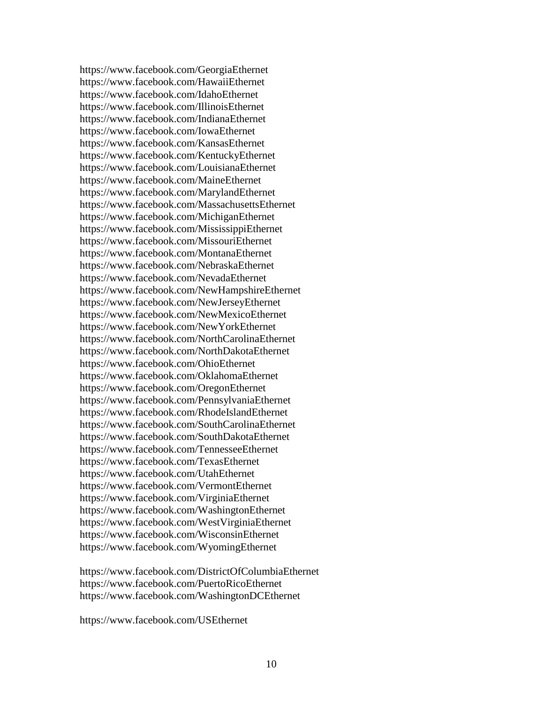https://www.facebook.com/GeorgiaEthernet https://www.facebook.com/HawaiiEthernet https://www.facebook.com/IdahoEthernet https://www.facebook.com/IllinoisEthernet https://www.facebook.com/IndianaEthernet https://www.facebook.com/IowaEthernet https://www.facebook.com/KansasEthernet https://www.facebook.com/KentuckyEthernet https://www.facebook.com/LouisianaEthernet https://www.facebook.com/MaineEthernet https://www.facebook.com/MarylandEthernet https://www.facebook.com/MassachusettsEthernet https://www.facebook.com/MichiganEthernet https://www.facebook.com/MississippiEthernet https://www.facebook.com/MissouriEthernet https://www.facebook.com/MontanaEthernet https://www.facebook.com/NebraskaEthernet https://www.facebook.com/NevadaEthernet https://www.facebook.com/NewHampshireEthernet https://www.facebook.com/NewJerseyEthernet https://www.facebook.com/NewMexicoEthernet https://www.facebook.com/NewYorkEthernet https://www.facebook.com/NorthCarolinaEthernet https://www.facebook.com/NorthDakotaEthernet https://www.facebook.com/OhioEthernet https://www.facebook.com/OklahomaEthernet https://www.facebook.com/OregonEthernet https://www.facebook.com/PennsylvaniaEthernet https://www.facebook.com/RhodeIslandEthernet https://www.facebook.com/SouthCarolinaEthernet https://www.facebook.com/SouthDakotaEthernet https://www.facebook.com/TennesseeEthernet https://www.facebook.com/TexasEthernet https://www.facebook.com/UtahEthernet https://www.facebook.com/VermontEthernet https://www.facebook.com/VirginiaEthernet https://www.facebook.com/WashingtonEthernet https://www.facebook.com/WestVirginiaEthernet https://www.facebook.com/WisconsinEthernet https://www.facebook.com/WyomingEthernet

https://www.facebook.com/DistrictOfColumbiaEthernet https://www.facebook.com/PuertoRicoEthernet https://www.facebook.com/WashingtonDCEthernet

https://www.facebook.com/USEthernet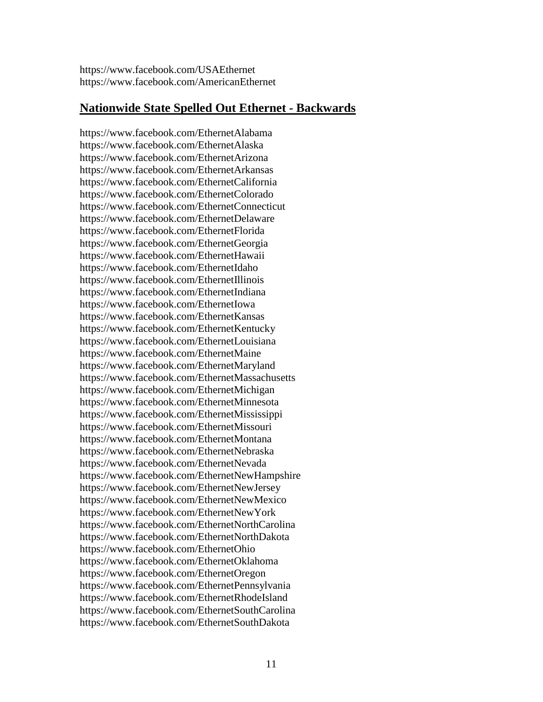https://www.facebook.com/USAEthernet https://www.facebook.com/AmericanEthernet

### **Nationwide State Spelled Out Ethernet - Backwards**

https://www.facebook.com/EthernetAlabama https://www.facebook.com/EthernetAlaska https://www.facebook.com/EthernetArizona https://www.facebook.com/EthernetArkansas https://www.facebook.com/EthernetCalifornia https://www.facebook.com/EthernetColorado https://www.facebook.com/EthernetConnecticut https://www.facebook.com/EthernetDelaware https://www.facebook.com/EthernetFlorida https://www.facebook.com/EthernetGeorgia https://www.facebook.com/EthernetHawaii https://www.facebook.com/EthernetIdaho https://www.facebook.com/EthernetIllinois https://www.facebook.com/EthernetIndiana https://www.facebook.com/EthernetIowa https://www.facebook.com/EthernetKansas https://www.facebook.com/EthernetKentucky https://www.facebook.com/EthernetLouisiana https://www.facebook.com/EthernetMaine https://www.facebook.com/EthernetMaryland https://www.facebook.com/EthernetMassachusetts https://www.facebook.com/EthernetMichigan https://www.facebook.com/EthernetMinnesota https://www.facebook.com/EthernetMississippi https://www.facebook.com/EthernetMissouri https://www.facebook.com/EthernetMontana https://www.facebook.com/EthernetNebraska https://www.facebook.com/EthernetNevada https://www.facebook.com/EthernetNewHampshire https://www.facebook.com/EthernetNewJersey https://www.facebook.com/EthernetNewMexico https://www.facebook.com/EthernetNewYork https://www.facebook.com/EthernetNorthCarolina https://www.facebook.com/EthernetNorthDakota https://www.facebook.com/EthernetOhio https://www.facebook.com/EthernetOklahoma https://www.facebook.com/EthernetOregon https://www.facebook.com/EthernetPennsylvania https://www.facebook.com/EthernetRhodeIsland https://www.facebook.com/EthernetSouthCarolina https://www.facebook.com/EthernetSouthDakota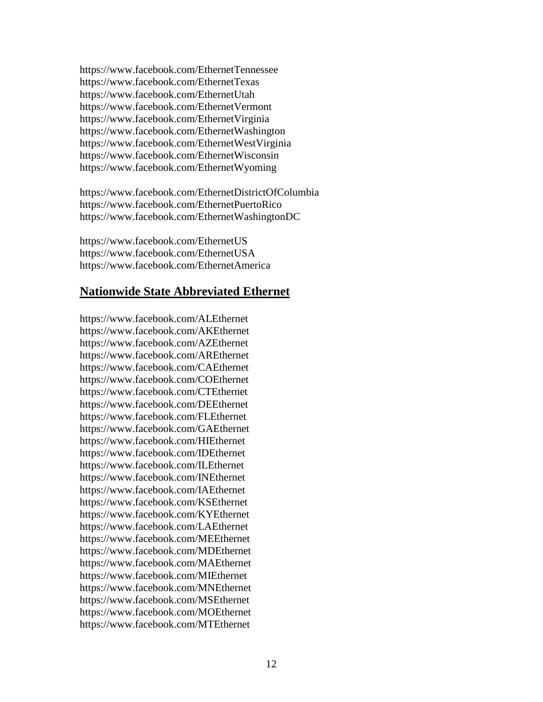https://www.facebook.com/EthernetTennessee https://www.facebook.com/EthernetTexas https://www.facebook.com/EthernetUtah https://www.facebook.com/EthernetVermont https://www.facebook.com/EthernetVirginia https://www.facebook.com/EthernetWashington https://www.facebook.com/EthernetWestVirginia https://www.facebook.com/EthernetWisconsin https://www.facebook.com/EthernetWyoming

https://www.facebook.com/EthernetDistrictOfColumbia https://www.facebook.com/EthernetPuertoRico https://www.facebook.com/EthernetWashingtonDC

https://www.facebook.com/EthernetUS https://www.facebook.com/EthernetUSA https://www.facebook.com/EthernetAmerica

# **Nationwide State Abbreviated Ethernet**

https://www.facebook.com/ALEthernet https://www.facebook.com/AKEthernet https://www.facebook.com/AZEthernet https://www.facebook.com/AREthernet https://www.facebook.com/CAEthernet https://www.facebook.com/COEthernet https://www.facebook.com/CTEthernet https://www.facebook.com/DEEthernet https://www.facebook.com/FLEthernet https://www.facebook.com/GAEthernet https://www.facebook.com/HIEthernet https://www.facebook.com/IDEthernet https://www.facebook.com/ILEthernet https://www.facebook.com/INEthernet https://www.facebook.com/IAEthernet https://www.facebook.com/KSEthernet https://www.facebook.com/KYEthernet https://www.facebook.com/LAEthernet https://www.facebook.com/MEEthernet https://www.facebook.com/MDEthernet https://www.facebook.com/MAEthernet https://www.facebook.com/MIEthernet https://www.facebook.com/MNEthernet https://www.facebook.com/MSEthernet https://www.facebook.com/MOEthernet https://www.facebook.com/MTEthernet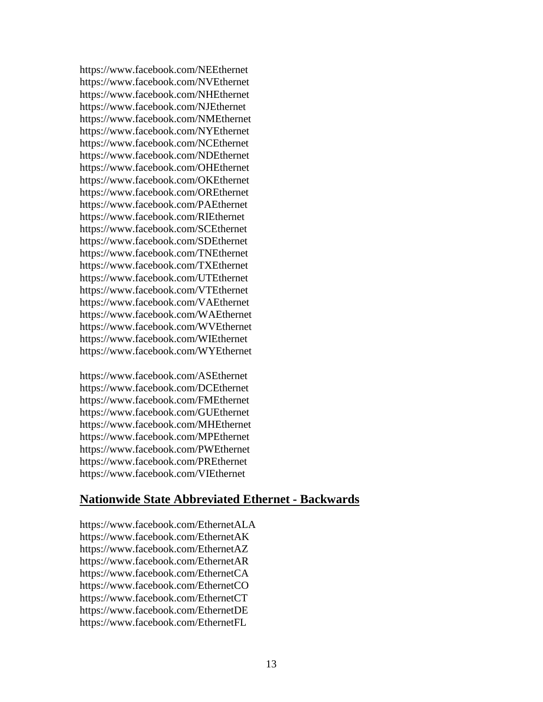https://www.facebook.com/NEEthernet https://www.facebook.com/NVEthernet https://www.facebook.com/NHEthernet https://www.facebook.com/NJEthernet https://www.facebook.com/NMEthernet https://www.facebook.com/NYEthernet https://www.facebook.com/NCEthernet https://www.facebook.com/NDEthernet https://www.facebook.com/OHEthernet https://www.facebook.com/OKEthernet https://www.facebook.com/OREthernet https://www.facebook.com/PAEthernet https://www.facebook.com/RIEthernet https://www.facebook.com/SCEthernet https://www.facebook.com/SDEthernet https://www.facebook.com/TNEthernet https://www.facebook.com/TXEthernet https://www.facebook.com/UTEthernet https://www.facebook.com/VTEthernet https://www.facebook.com/VAEthernet https://www.facebook.com/WAEthernet https://www.facebook.com/WVEthernet https://www.facebook.com/WIEthernet https://www.facebook.com/WYEthernet

https://www.facebook.com/ASEthernet https://www.facebook.com/DCEthernet https://www.facebook.com/FMEthernet https://www.facebook.com/GUEthernet https://www.facebook.com/MHEthernet https://www.facebook.com/MPEthernet https://www.facebook.com/PWEthernet https://www.facebook.com/PREthernet https://www.facebook.com/VIEthernet

# **Nationwide State Abbreviated Ethernet - Backwards**

https://www.facebook.com/EthernetALA https://www.facebook.com/EthernetAK https://www.facebook.com/EthernetAZ https://www.facebook.com/EthernetAR https://www.facebook.com/EthernetCA https://www.facebook.com/EthernetCO https://www.facebook.com/EthernetCT https://www.facebook.com/EthernetDE https://www.facebook.com/EthernetFL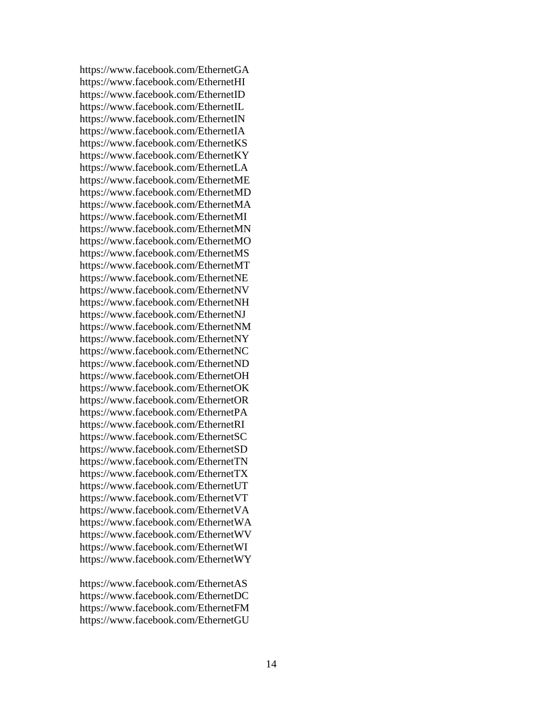https://www.facebook.com/EthernetGA https://www.facebook.com/EthernetHI https://www.facebook.com/EthernetID https://www.facebook.com/EthernetIL https://www.facebook.com/EthernetIN https://www.facebook.com/EthernetIA https://www.facebook.com/EthernetKS https://www.facebook.com/EthernetKY https://www.facebook.com/EthernetLA https://www.facebook.com/EthernetME https://www.facebook.com/EthernetMD https://www.facebook.com/EthernetMA https://www.facebook.com/EthernetMI https://www.facebook.com/EthernetMN https://www.facebook.com/EthernetMO https://www.facebook.com/EthernetMS https://www.facebook.com/EthernetMT https://www.facebook.com/EthernetNE https://www.facebook.com/EthernetNV https://www.facebook.com/EthernetNH https://www.facebook.com/EthernetNJ https://www.facebook.com/EthernetNM https://www.facebook.com/EthernetNY https://www.facebook.com/EthernetNC https://www.facebook.com/EthernetND https://www.facebook.com/EthernetOH https://www.facebook.com/EthernetOK https://www.facebook.com/EthernetOR https://www.facebook.com/EthernetPA https://www.facebook.com/EthernetRI https://www.facebook.com/EthernetSC https://www.facebook.com/EthernetSD https://www.facebook.com/EthernetTN https://www.facebook.com/EthernetTX https://www.facebook.com/EthernetUT https://www.facebook.com/EthernetVT https://www.facebook.com/EthernetVA https://www.facebook.com/EthernetWA https://www.facebook.com/EthernetWV https://www.facebook.com/EthernetWI https://www.facebook.com/EthernetWY

https://www.facebook.com/EthernetAS https://www.facebook.com/EthernetDC https://www.facebook.com/EthernetFM https://www.facebook.com/EthernetGU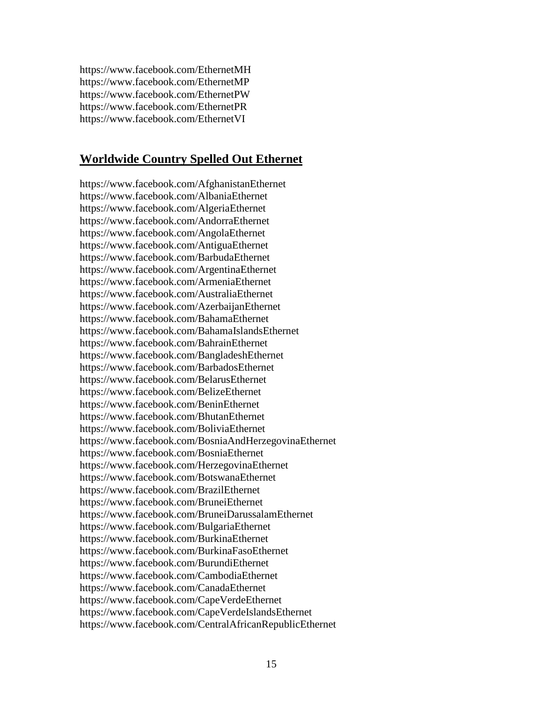https://www.facebook.com/EthernetMH https://www.facebook.com/EthernetMP https://www.facebook.com/EthernetPW https://www.facebook.com/EthernetPR https://www.facebook.com/EthernetVI

### **Worldwide Country Spelled Out Ethernet**

https://www.facebook.com/AfghanistanEthernet https://www.facebook.com/AlbaniaEthernet https://www.facebook.com/AlgeriaEthernet https://www.facebook.com/AndorraEthernet https://www.facebook.com/AngolaEthernet https://www.facebook.com/AntiguaEthernet https://www.facebook.com/BarbudaEthernet https://www.facebook.com/ArgentinaEthernet https://www.facebook.com/ArmeniaEthernet https://www.facebook.com/AustraliaEthernet https://www.facebook.com/AzerbaijanEthernet https://www.facebook.com/BahamaEthernet https://www.facebook.com/BahamaIslandsEthernet https://www.facebook.com/BahrainEthernet https://www.facebook.com/BangladeshEthernet https://www.facebook.com/BarbadosEthernet https://www.facebook.com/BelarusEthernet https://www.facebook.com/BelizeEthernet https://www.facebook.com/BeninEthernet https://www.facebook.com/BhutanEthernet https://www.facebook.com/BoliviaEthernet https://www.facebook.com/BosniaAndHerzegovinaEthernet https://www.facebook.com/BosniaEthernet https://www.facebook.com/HerzegovinaEthernet https://www.facebook.com/BotswanaEthernet https://www.facebook.com/BrazilEthernet https://www.facebook.com/BruneiEthernet https://www.facebook.com/BruneiDarussalamEthernet https://www.facebook.com/BulgariaEthernet https://www.facebook.com/BurkinaEthernet https://www.facebook.com/BurkinaFasoEthernet https://www.facebook.com/BurundiEthernet https://www.facebook.com/CambodiaEthernet https://www.facebook.com/CanadaEthernet https://www.facebook.com/CapeVerdeEthernet https://www.facebook.com/CapeVerdeIslandsEthernet https://www.facebook.com/CentralAfricanRepublicEthernet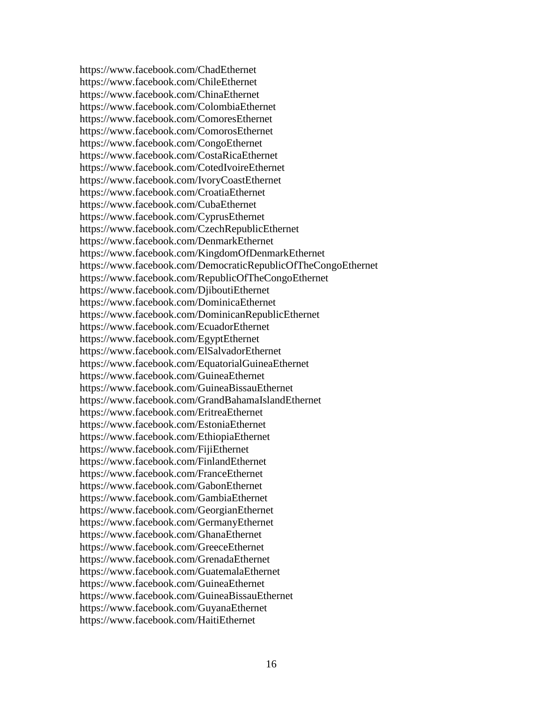https://www.facebook.com/ChadEthernet https://www.facebook.com/ChileEthernet https://www.facebook.com/ChinaEthernet https://www.facebook.com/ColombiaEthernet https://www.facebook.com/ComoresEthernet https://www.facebook.com/ComorosEthernet https://www.facebook.com/CongoEthernet https://www.facebook.com/CostaRicaEthernet https://www.facebook.com/CotedIvoireEthernet https://www.facebook.com/IvoryCoastEthernet https://www.facebook.com/CroatiaEthernet https://www.facebook.com/CubaEthernet https://www.facebook.com/CyprusEthernet https://www.facebook.com/CzechRepublicEthernet https://www.facebook.com/DenmarkEthernet https://www.facebook.com/KingdomOfDenmarkEthernet https://www.facebook.com/DemocraticRepublicOfTheCongoEthernet https://www.facebook.com/RepublicOfTheCongoEthernet https://www.facebook.com/DjiboutiEthernet https://www.facebook.com/DominicaEthernet https://www.facebook.com/DominicanRepublicEthernet https://www.facebook.com/EcuadorEthernet https://www.facebook.com/EgyptEthernet https://www.facebook.com/ElSalvadorEthernet https://www.facebook.com/EquatorialGuineaEthernet https://www.facebook.com/GuineaEthernet https://www.facebook.com/GuineaBissauEthernet https://www.facebook.com/GrandBahamaIslandEthernet https://www.facebook.com/EritreaEthernet https://www.facebook.com/EstoniaEthernet https://www.facebook.com/EthiopiaEthernet https://www.facebook.com/FijiEthernet https://www.facebook.com/FinlandEthernet https://www.facebook.com/FranceEthernet https://www.facebook.com/GabonEthernet https://www.facebook.com/GambiaEthernet https://www.facebook.com/GeorgianEthernet https://www.facebook.com/GermanyEthernet https://www.facebook.com/GhanaEthernet https://www.facebook.com/GreeceEthernet https://www.facebook.com/GrenadaEthernet https://www.facebook.com/GuatemalaEthernet https://www.facebook.com/GuineaEthernet https://www.facebook.com/GuineaBissauEthernet https://www.facebook.com/GuyanaEthernet https://www.facebook.com/HaitiEthernet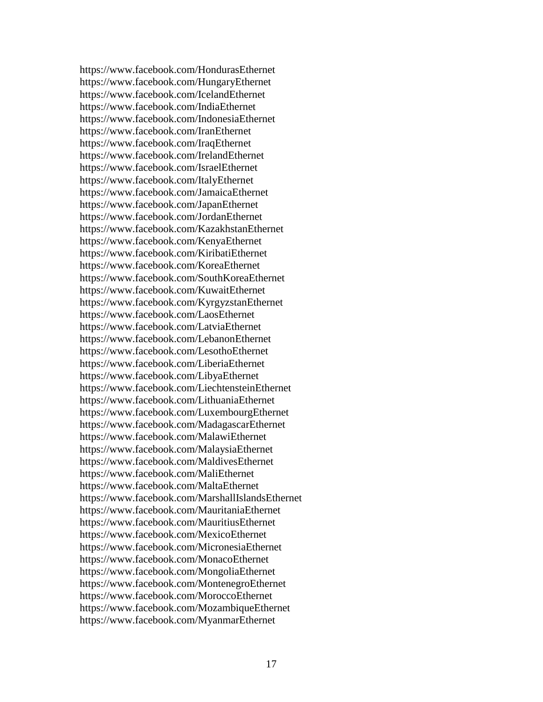https://www.facebook.com/HondurasEthernet https://www.facebook.com/HungaryEthernet https://www.facebook.com/IcelandEthernet https://www.facebook.com/IndiaEthernet https://www.facebook.com/IndonesiaEthernet https://www.facebook.com/IranEthernet https://www.facebook.com/IraqEthernet https://www.facebook.com/IrelandEthernet https://www.facebook.com/IsraelEthernet https://www.facebook.com/ItalyEthernet https://www.facebook.com/JamaicaEthernet https://www.facebook.com/JapanEthernet https://www.facebook.com/JordanEthernet https://www.facebook.com/KazakhstanEthernet https://www.facebook.com/KenyaEthernet https://www.facebook.com/KiribatiEthernet https://www.facebook.com/KoreaEthernet https://www.facebook.com/SouthKoreaEthernet https://www.facebook.com/KuwaitEthernet https://www.facebook.com/KyrgyzstanEthernet https://www.facebook.com/LaosEthernet https://www.facebook.com/LatviaEthernet https://www.facebook.com/LebanonEthernet https://www.facebook.com/LesothoEthernet https://www.facebook.com/LiberiaEthernet https://www.facebook.com/LibyaEthernet https://www.facebook.com/LiechtensteinEthernet https://www.facebook.com/LithuaniaEthernet https://www.facebook.com/LuxembourgEthernet https://www.facebook.com/MadagascarEthernet https://www.facebook.com/MalawiEthernet https://www.facebook.com/MalaysiaEthernet https://www.facebook.com/MaldivesEthernet https://www.facebook.com/MaliEthernet https://www.facebook.com/MaltaEthernet https://www.facebook.com/MarshallIslandsEthernet https://www.facebook.com/MauritaniaEthernet https://www.facebook.com/MauritiusEthernet https://www.facebook.com/MexicoEthernet https://www.facebook.com/MicronesiaEthernet https://www.facebook.com/MonacoEthernet https://www.facebook.com/MongoliaEthernet https://www.facebook.com/MontenegroEthernet https://www.facebook.com/MoroccoEthernet https://www.facebook.com/MozambiqueEthernet https://www.facebook.com/MyanmarEthernet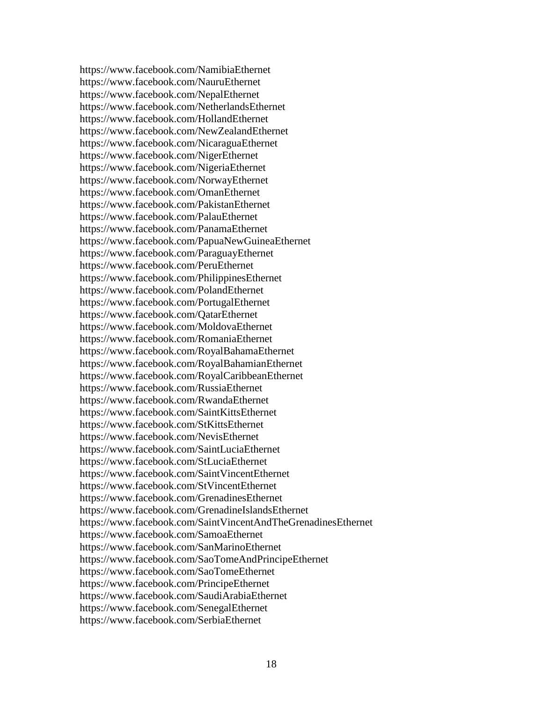https://www.facebook.com/NamibiaEthernet https://www.facebook.com/NauruEthernet https://www.facebook.com/NepalEthernet https://www.facebook.com/NetherlandsEthernet https://www.facebook.com/HollandEthernet https://www.facebook.com/NewZealandEthernet https://www.facebook.com/NicaraguaEthernet https://www.facebook.com/NigerEthernet https://www.facebook.com/NigeriaEthernet https://www.facebook.com/NorwayEthernet https://www.facebook.com/OmanEthernet https://www.facebook.com/PakistanEthernet https://www.facebook.com/PalauEthernet https://www.facebook.com/PanamaEthernet https://www.facebook.com/PapuaNewGuineaEthernet https://www.facebook.com/ParaguayEthernet https://www.facebook.com/PeruEthernet https://www.facebook.com/PhilippinesEthernet https://www.facebook.com/PolandEthernet https://www.facebook.com/PortugalEthernet https://www.facebook.com/QatarEthernet https://www.facebook.com/MoldovaEthernet https://www.facebook.com/RomaniaEthernet https://www.facebook.com/RoyalBahamaEthernet https://www.facebook.com/RoyalBahamianEthernet https://www.facebook.com/RoyalCaribbeanEthernet https://www.facebook.com/RussiaEthernet https://www.facebook.com/RwandaEthernet https://www.facebook.com/SaintKittsEthernet https://www.facebook.com/StKittsEthernet https://www.facebook.com/NevisEthernet https://www.facebook.com/SaintLuciaEthernet https://www.facebook.com/StLuciaEthernet https://www.facebook.com/SaintVincentEthernet https://www.facebook.com/StVincentEthernet https://www.facebook.com/GrenadinesEthernet https://www.facebook.com/GrenadineIslandsEthernet https://www.facebook.com/SaintVincentAndTheGrenadinesEthernet https://www.facebook.com/SamoaEthernet https://www.facebook.com/SanMarinoEthernet https://www.facebook.com/SaoTomeAndPrincipeEthernet https://www.facebook.com/SaoTomeEthernet https://www.facebook.com/PrincipeEthernet https://www.facebook.com/SaudiArabiaEthernet https://www.facebook.com/SenegalEthernet https://www.facebook.com/SerbiaEthernet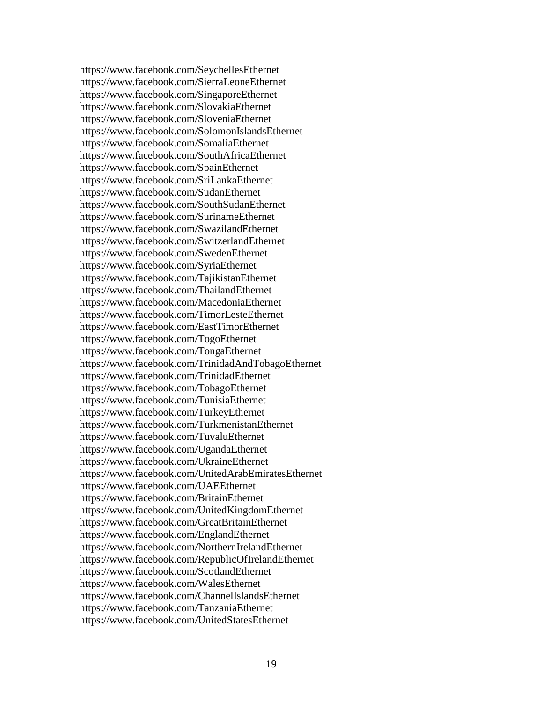https://www.facebook.com/SeychellesEthernet https://www.facebook.com/SierraLeoneEthernet https://www.facebook.com/SingaporeEthernet https://www.facebook.com/SlovakiaEthernet https://www.facebook.com/SloveniaEthernet https://www.facebook.com/SolomonIslandsEthernet https://www.facebook.com/SomaliaEthernet https://www.facebook.com/SouthAfricaEthernet https://www.facebook.com/SpainEthernet https://www.facebook.com/SriLankaEthernet https://www.facebook.com/SudanEthernet https://www.facebook.com/SouthSudanEthernet https://www.facebook.com/SurinameEthernet https://www.facebook.com/SwazilandEthernet https://www.facebook.com/SwitzerlandEthernet https://www.facebook.com/SwedenEthernet https://www.facebook.com/SyriaEthernet https://www.facebook.com/TajikistanEthernet https://www.facebook.com/ThailandEthernet https://www.facebook.com/MacedoniaEthernet https://www.facebook.com/TimorLesteEthernet https://www.facebook.com/EastTimorEthernet https://www.facebook.com/TogoEthernet https://www.facebook.com/TongaEthernet https://www.facebook.com/TrinidadAndTobagoEthernet https://www.facebook.com/TrinidadEthernet https://www.facebook.com/TobagoEthernet https://www.facebook.com/TunisiaEthernet https://www.facebook.com/TurkeyEthernet https://www.facebook.com/TurkmenistanEthernet https://www.facebook.com/TuvaluEthernet https://www.facebook.com/UgandaEthernet https://www.facebook.com/UkraineEthernet https://www.facebook.com/UnitedArabEmiratesEthernet https://www.facebook.com/UAEEthernet https://www.facebook.com/BritainEthernet https://www.facebook.com/UnitedKingdomEthernet https://www.facebook.com/GreatBritainEthernet https://www.facebook.com/EnglandEthernet https://www.facebook.com/NorthernIrelandEthernet https://www.facebook.com/RepublicOfIrelandEthernet https://www.facebook.com/ScotlandEthernet https://www.facebook.com/WalesEthernet https://www.facebook.com/ChannelIslandsEthernet https://www.facebook.com/TanzaniaEthernet https://www.facebook.com/UnitedStatesEthernet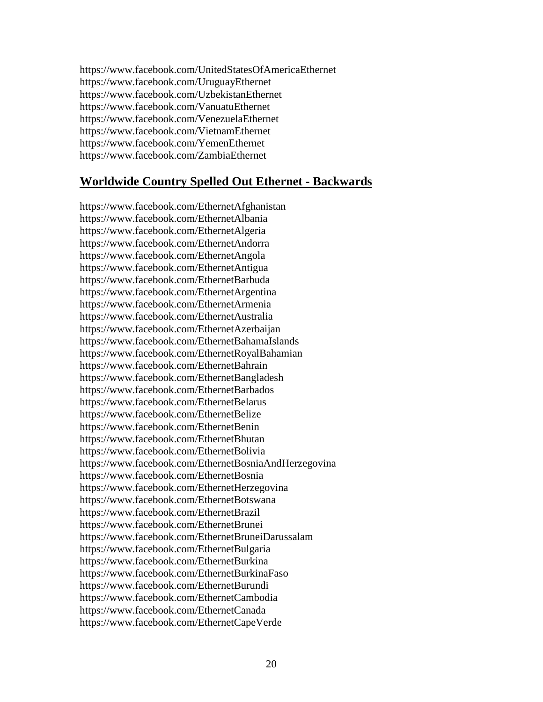https://www.facebook.com/UnitedStatesOfAmericaEthernet https://www.facebook.com/UruguayEthernet https://www.facebook.com/UzbekistanEthernet https://www.facebook.com/VanuatuEthernet https://www.facebook.com/VenezuelaEthernet https://www.facebook.com/VietnamEthernet https://www.facebook.com/YemenEthernet https://www.facebook.com/ZambiaEthernet

# **Worldwide Country Spelled Out Ethernet - Backwards**

https://www.facebook.com/EthernetAfghanistan https://www.facebook.com/EthernetAlbania https://www.facebook.com/EthernetAlgeria https://www.facebook.com/EthernetAndorra https://www.facebook.com/EthernetAngola https://www.facebook.com/EthernetAntigua https://www.facebook.com/EthernetBarbuda https://www.facebook.com/EthernetArgentina https://www.facebook.com/EthernetArmenia https://www.facebook.com/EthernetAustralia https://www.facebook.com/EthernetAzerbaijan https://www.facebook.com/EthernetBahamaIslands https://www.facebook.com/EthernetRoyalBahamian https://www.facebook.com/EthernetBahrain https://www.facebook.com/EthernetBangladesh https://www.facebook.com/EthernetBarbados https://www.facebook.com/EthernetBelarus https://www.facebook.com/EthernetBelize https://www.facebook.com/EthernetBenin https://www.facebook.com/EthernetBhutan https://www.facebook.com/EthernetBolivia https://www.facebook.com/EthernetBosniaAndHerzegovina https://www.facebook.com/EthernetBosnia https://www.facebook.com/EthernetHerzegovina https://www.facebook.com/EthernetBotswana https://www.facebook.com/EthernetBrazil https://www.facebook.com/EthernetBrunei https://www.facebook.com/EthernetBruneiDarussalam https://www.facebook.com/EthernetBulgaria https://www.facebook.com/EthernetBurkina https://www.facebook.com/EthernetBurkinaFaso https://www.facebook.com/EthernetBurundi https://www.facebook.com/EthernetCambodia https://www.facebook.com/EthernetCanada https://www.facebook.com/EthernetCapeVerde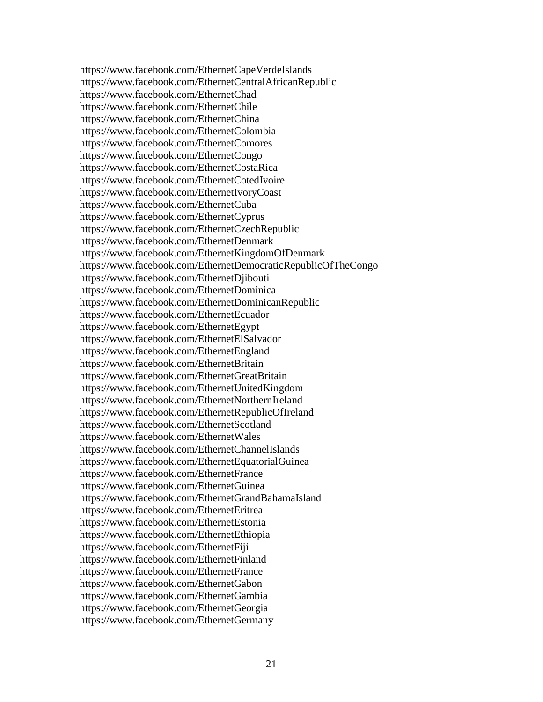https://www.facebook.com/EthernetCapeVerdeIslands https://www.facebook.com/EthernetCentralAfricanRepublic https://www.facebook.com/EthernetChad https://www.facebook.com/EthernetChile https://www.facebook.com/EthernetChina https://www.facebook.com/EthernetColombia https://www.facebook.com/EthernetComores https://www.facebook.com/EthernetCongo https://www.facebook.com/EthernetCostaRica https://www.facebook.com/EthernetCotedIvoire https://www.facebook.com/EthernetIvoryCoast https://www.facebook.com/EthernetCuba https://www.facebook.com/EthernetCyprus https://www.facebook.com/EthernetCzechRepublic https://www.facebook.com/EthernetDenmark https://www.facebook.com/EthernetKingdomOfDenmark https://www.facebook.com/EthernetDemocraticRepublicOfTheCongo https://www.facebook.com/EthernetDjibouti https://www.facebook.com/EthernetDominica https://www.facebook.com/EthernetDominicanRepublic https://www.facebook.com/EthernetEcuador https://www.facebook.com/EthernetEgypt https://www.facebook.com/EthernetElSalvador https://www.facebook.com/EthernetEngland https://www.facebook.com/EthernetBritain https://www.facebook.com/EthernetGreatBritain https://www.facebook.com/EthernetUnitedKingdom https://www.facebook.com/EthernetNorthernIreland https://www.facebook.com/EthernetRepublicOfIreland https://www.facebook.com/EthernetScotland https://www.facebook.com/EthernetWales https://www.facebook.com/EthernetChannelIslands https://www.facebook.com/EthernetEquatorialGuinea https://www.facebook.com/EthernetFrance https://www.facebook.com/EthernetGuinea https://www.facebook.com/EthernetGrandBahamaIsland https://www.facebook.com/EthernetEritrea https://www.facebook.com/EthernetEstonia https://www.facebook.com/EthernetEthiopia https://www.facebook.com/EthernetFiji https://www.facebook.com/EthernetFinland https://www.facebook.com/EthernetFrance https://www.facebook.com/EthernetGabon https://www.facebook.com/EthernetGambia https://www.facebook.com/EthernetGeorgia https://www.facebook.com/EthernetGermany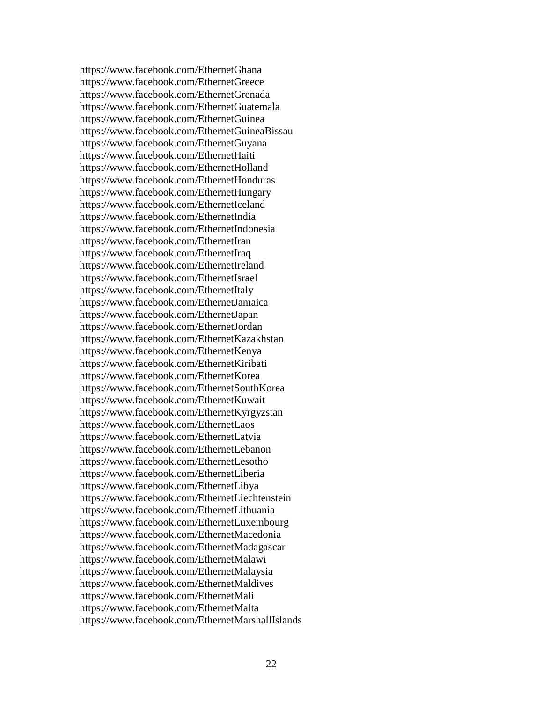https://www.facebook.com/EthernetGhana https://www.facebook.com/EthernetGreece https://www.facebook.com/EthernetGrenada https://www.facebook.com/EthernetGuatemala https://www.facebook.com/EthernetGuinea https://www.facebook.com/EthernetGuineaBissau https://www.facebook.com/EthernetGuyana https://www.facebook.com/EthernetHaiti https://www.facebook.com/EthernetHolland https://www.facebook.com/EthernetHonduras https://www.facebook.com/EthernetHungary https://www.facebook.com/EthernetIceland https://www.facebook.com/EthernetIndia https://www.facebook.com/EthernetIndonesia https://www.facebook.com/EthernetIran https://www.facebook.com/EthernetIraq https://www.facebook.com/EthernetIreland https://www.facebook.com/EthernetIsrael https://www.facebook.com/EthernetItaly https://www.facebook.com/EthernetJamaica https://www.facebook.com/EthernetJapan https://www.facebook.com/EthernetJordan https://www.facebook.com/EthernetKazakhstan https://www.facebook.com/EthernetKenya https://www.facebook.com/EthernetKiribati https://www.facebook.com/EthernetKorea https://www.facebook.com/EthernetSouthKorea https://www.facebook.com/EthernetKuwait https://www.facebook.com/EthernetKyrgyzstan https://www.facebook.com/EthernetLaos https://www.facebook.com/EthernetLatvia https://www.facebook.com/EthernetLebanon https://www.facebook.com/EthernetLesotho https://www.facebook.com/EthernetLiberia https://www.facebook.com/EthernetLibya https://www.facebook.com/EthernetLiechtenstein https://www.facebook.com/EthernetLithuania https://www.facebook.com/EthernetLuxembourg https://www.facebook.com/EthernetMacedonia https://www.facebook.com/EthernetMadagascar https://www.facebook.com/EthernetMalawi https://www.facebook.com/EthernetMalaysia https://www.facebook.com/EthernetMaldives https://www.facebook.com/EthernetMali https://www.facebook.com/EthernetMalta https://www.facebook.com/EthernetMarshallIslands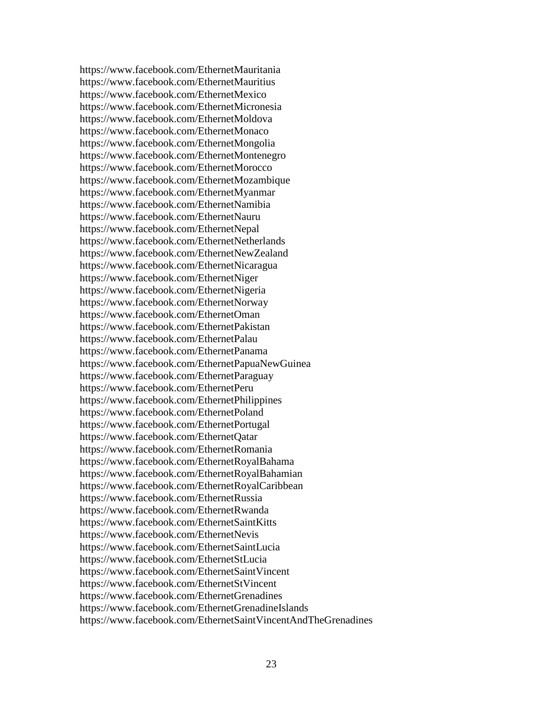https://www.facebook.com/EthernetMauritania https://www.facebook.com/EthernetMauritius https://www.facebook.com/EthernetMexico https://www.facebook.com/EthernetMicronesia https://www.facebook.com/EthernetMoldova https://www.facebook.com/EthernetMonaco https://www.facebook.com/EthernetMongolia https://www.facebook.com/EthernetMontenegro https://www.facebook.com/EthernetMorocco https://www.facebook.com/EthernetMozambique https://www.facebook.com/EthernetMyanmar https://www.facebook.com/EthernetNamibia https://www.facebook.com/EthernetNauru https://www.facebook.com/EthernetNepal https://www.facebook.com/EthernetNetherlands https://www.facebook.com/EthernetNewZealand https://www.facebook.com/EthernetNicaragua https://www.facebook.com/EthernetNiger https://www.facebook.com/EthernetNigeria https://www.facebook.com/EthernetNorway https://www.facebook.com/EthernetOman https://www.facebook.com/EthernetPakistan https://www.facebook.com/EthernetPalau https://www.facebook.com/EthernetPanama https://www.facebook.com/EthernetPapuaNewGuinea https://www.facebook.com/EthernetParaguay https://www.facebook.com/EthernetPeru https://www.facebook.com/EthernetPhilippines https://www.facebook.com/EthernetPoland https://www.facebook.com/EthernetPortugal https://www.facebook.com/EthernetQatar https://www.facebook.com/EthernetRomania https://www.facebook.com/EthernetRoyalBahama https://www.facebook.com/EthernetRoyalBahamian https://www.facebook.com/EthernetRoyalCaribbean https://www.facebook.com/EthernetRussia https://www.facebook.com/EthernetRwanda https://www.facebook.com/EthernetSaintKitts https://www.facebook.com/EthernetNevis https://www.facebook.com/EthernetSaintLucia https://www.facebook.com/EthernetStLucia https://www.facebook.com/EthernetSaintVincent https://www.facebook.com/EthernetStVincent https://www.facebook.com/EthernetGrenadines https://www.facebook.com/EthernetGrenadineIslands https://www.facebook.com/EthernetSaintVincentAndTheGrenadines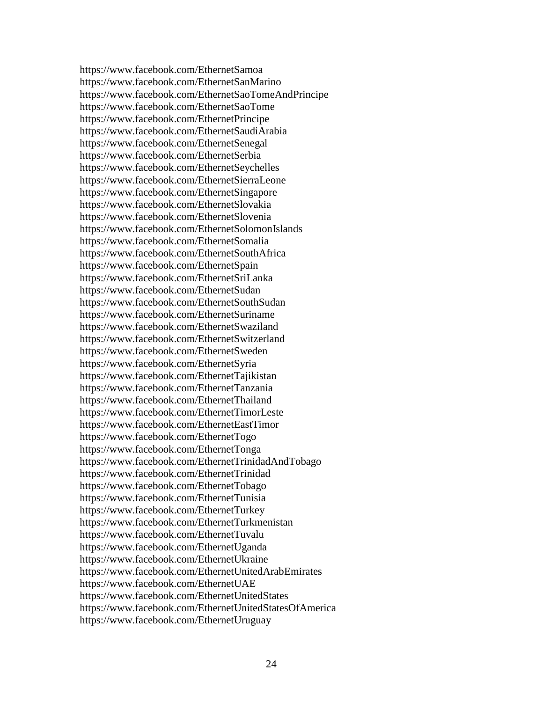https://www.facebook.com/EthernetSamoa https://www.facebook.com/EthernetSanMarino https://www.facebook.com/EthernetSaoTomeAndPrincipe https://www.facebook.com/EthernetSaoTome https://www.facebook.com/EthernetPrincipe https://www.facebook.com/EthernetSaudiArabia https://www.facebook.com/EthernetSenegal https://www.facebook.com/EthernetSerbia https://www.facebook.com/EthernetSeychelles https://www.facebook.com/EthernetSierraLeone https://www.facebook.com/EthernetSingapore https://www.facebook.com/EthernetSlovakia https://www.facebook.com/EthernetSlovenia https://www.facebook.com/EthernetSolomonIslands https://www.facebook.com/EthernetSomalia https://www.facebook.com/EthernetSouthAfrica https://www.facebook.com/EthernetSpain https://www.facebook.com/EthernetSriLanka https://www.facebook.com/EthernetSudan https://www.facebook.com/EthernetSouthSudan https://www.facebook.com/EthernetSuriname https://www.facebook.com/EthernetSwaziland https://www.facebook.com/EthernetSwitzerland https://www.facebook.com/EthernetSweden https://www.facebook.com/EthernetSyria https://www.facebook.com/EthernetTajikistan https://www.facebook.com/EthernetTanzania https://www.facebook.com/EthernetThailand https://www.facebook.com/EthernetTimorLeste https://www.facebook.com/EthernetEastTimor https://www.facebook.com/EthernetTogo https://www.facebook.com/EthernetTonga https://www.facebook.com/EthernetTrinidadAndTobago https://www.facebook.com/EthernetTrinidad https://www.facebook.com/EthernetTobago https://www.facebook.com/EthernetTunisia https://www.facebook.com/EthernetTurkey https://www.facebook.com/EthernetTurkmenistan https://www.facebook.com/EthernetTuvalu https://www.facebook.com/EthernetUganda https://www.facebook.com/EthernetUkraine https://www.facebook.com/EthernetUnitedArabEmirates https://www.facebook.com/EthernetUAE https://www.facebook.com/EthernetUnitedStates https://www.facebook.com/EthernetUnitedStatesOfAmerica https://www.facebook.com/EthernetUruguay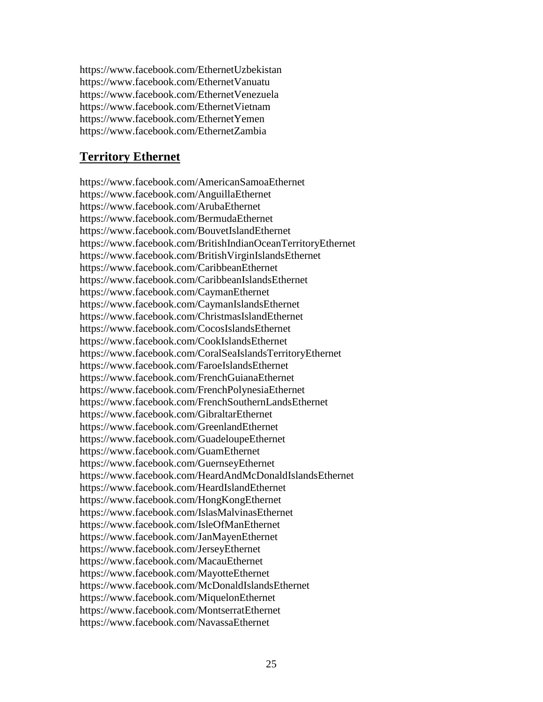https://www.facebook.com/EthernetUzbekistan https://www.facebook.com/EthernetVanuatu https://www.facebook.com/EthernetVenezuela https://www.facebook.com/EthernetVietnam https://www.facebook.com/EthernetYemen https://www.facebook.com/EthernetZambia

# **Territory Ethernet**

https://www.facebook.com/AmericanSamoaEthernet https://www.facebook.com/AnguillaEthernet https://www.facebook.com/ArubaEthernet https://www.facebook.com/BermudaEthernet https://www.facebook.com/BouvetIslandEthernet https://www.facebook.com/BritishIndianOceanTerritoryEthernet https://www.facebook.com/BritishVirginIslandsEthernet https://www.facebook.com/CaribbeanEthernet https://www.facebook.com/CaribbeanIslandsEthernet https://www.facebook.com/CaymanEthernet https://www.facebook.com/CaymanIslandsEthernet https://www.facebook.com/ChristmasIslandEthernet https://www.facebook.com/CocosIslandsEthernet https://www.facebook.com/CookIslandsEthernet https://www.facebook.com/CoralSeaIslandsTerritoryEthernet https://www.facebook.com/FaroeIslandsEthernet https://www.facebook.com/FrenchGuianaEthernet https://www.facebook.com/FrenchPolynesiaEthernet https://www.facebook.com/FrenchSouthernLandsEthernet https://www.facebook.com/GibraltarEthernet https://www.facebook.com/GreenlandEthernet https://www.facebook.com/GuadeloupeEthernet https://www.facebook.com/GuamEthernet https://www.facebook.com/GuernseyEthernet https://www.facebook.com/HeardAndMcDonaldIslandsEthernet https://www.facebook.com/HeardIslandEthernet https://www.facebook.com/HongKongEthernet https://www.facebook.com/IslasMalvinasEthernet https://www.facebook.com/IsleOfManEthernet https://www.facebook.com/JanMayenEthernet https://www.facebook.com/JerseyEthernet https://www.facebook.com/MacauEthernet https://www.facebook.com/MayotteEthernet https://www.facebook.com/McDonaldIslandsEthernet https://www.facebook.com/MiquelonEthernet https://www.facebook.com/MontserratEthernet https://www.facebook.com/NavassaEthernet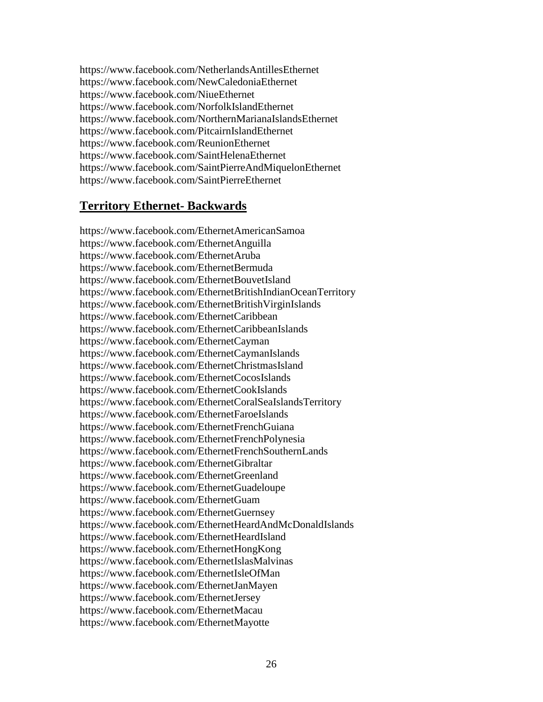https://www.facebook.com/NetherlandsAntillesEthernet https://www.facebook.com/NewCaledoniaEthernet https://www.facebook.com/NiueEthernet https://www.facebook.com/NorfolkIslandEthernet https://www.facebook.com/NorthernMarianaIslandsEthernet https://www.facebook.com/PitcairnIslandEthernet https://www.facebook.com/ReunionEthernet https://www.facebook.com/SaintHelenaEthernet https://www.facebook.com/SaintPierreAndMiquelonEthernet https://www.facebook.com/SaintPierreEthernet

## **Territory Ethernet- Backwards**

https://www.facebook.com/EthernetAmericanSamoa https://www.facebook.com/EthernetAnguilla https://www.facebook.com/EthernetAruba https://www.facebook.com/EthernetBermuda https://www.facebook.com/EthernetBouvetIsland https://www.facebook.com/EthernetBritishIndianOceanTerritory https://www.facebook.com/EthernetBritishVirginIslands https://www.facebook.com/EthernetCaribbean https://www.facebook.com/EthernetCaribbeanIslands https://www.facebook.com/EthernetCayman https://www.facebook.com/EthernetCaymanIslands https://www.facebook.com/EthernetChristmasIsland https://www.facebook.com/EthernetCocosIslands https://www.facebook.com/EthernetCookIslands https://www.facebook.com/EthernetCoralSeaIslandsTerritory https://www.facebook.com/EthernetFaroeIslands https://www.facebook.com/EthernetFrenchGuiana https://www.facebook.com/EthernetFrenchPolynesia https://www.facebook.com/EthernetFrenchSouthernLands https://www.facebook.com/EthernetGibraltar https://www.facebook.com/EthernetGreenland https://www.facebook.com/EthernetGuadeloupe https://www.facebook.com/EthernetGuam https://www.facebook.com/EthernetGuernsey https://www.facebook.com/EthernetHeardAndMcDonaldIslands https://www.facebook.com/EthernetHeardIsland https://www.facebook.com/EthernetHongKong https://www.facebook.com/EthernetIslasMalvinas https://www.facebook.com/EthernetIsleOfMan https://www.facebook.com/EthernetJanMayen https://www.facebook.com/EthernetJersey https://www.facebook.com/EthernetMacau https://www.facebook.com/EthernetMayotte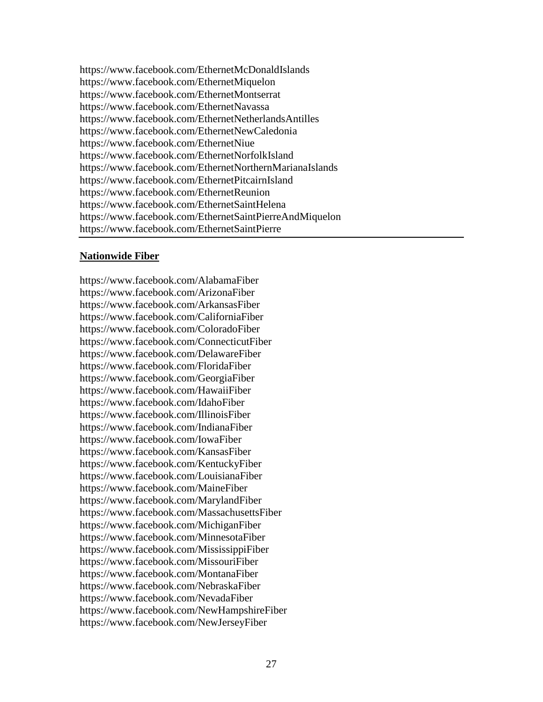https://www.facebook.com/EthernetMcDonaldIslands https://www.facebook.com/EthernetMiquelon https://www.facebook.com/EthernetMontserrat https://www.facebook.com/EthernetNavassa https://www.facebook.com/EthernetNetherlandsAntilles https://www.facebook.com/EthernetNewCaledonia https://www.facebook.com/EthernetNiue https://www.facebook.com/EthernetNorfolkIsland https://www.facebook.com/EthernetNorthernMarianaIslands https://www.facebook.com/EthernetPitcairnIsland https://www.facebook.com/EthernetReunion https://www.facebook.com/EthernetSaintHelena https://www.facebook.com/EthernetSaintPierreAndMiquelon https://www.facebook.com/EthernetSaintPierre

#### **Nationwide Fiber**

https://www.facebook.com/AlabamaFiber https://www.facebook.com/ArizonaFiber https://www.facebook.com/ArkansasFiber https://www.facebook.com/CaliforniaFiber https://www.facebook.com/ColoradoFiber https://www.facebook.com/ConnecticutFiber https://www.facebook.com/DelawareFiber https://www.facebook.com/FloridaFiber https://www.facebook.com/GeorgiaFiber https://www.facebook.com/HawaiiFiber https://www.facebook.com/IdahoFiber https://www.facebook.com/IllinoisFiber https://www.facebook.com/IndianaFiber https://www.facebook.com/IowaFiber https://www.facebook.com/KansasFiber https://www.facebook.com/KentuckyFiber https://www.facebook.com/LouisianaFiber https://www.facebook.com/MaineFiber https://www.facebook.com/MarylandFiber https://www.facebook.com/MassachusettsFiber https://www.facebook.com/MichiganFiber https://www.facebook.com/MinnesotaFiber https://www.facebook.com/MississippiFiber https://www.facebook.com/MissouriFiber https://www.facebook.com/MontanaFiber https://www.facebook.com/NebraskaFiber https://www.facebook.com/NevadaFiber https://www.facebook.com/NewHampshireFiber https://www.facebook.com/NewJerseyFiber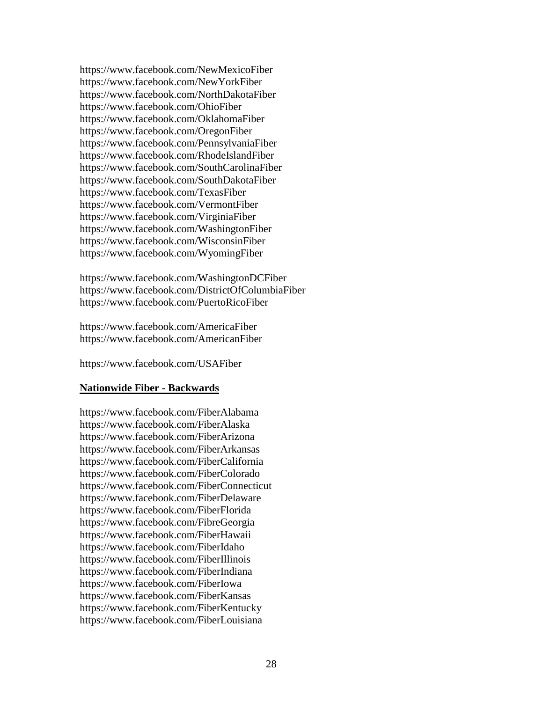https://www.facebook.com/NewMexicoFiber https://www.facebook.com/NewYorkFiber https://www.facebook.com/NorthDakotaFiber https://www.facebook.com/OhioFiber https://www.facebook.com/OklahomaFiber https://www.facebook.com/OregonFiber https://www.facebook.com/PennsylvaniaFiber https://www.facebook.com/RhodeIslandFiber https://www.facebook.com/SouthCarolinaFiber https://www.facebook.com/SouthDakotaFiber https://www.facebook.com/TexasFiber https://www.facebook.com/VermontFiber https://www.facebook.com/VirginiaFiber https://www.facebook.com/WashingtonFiber https://www.facebook.com/WisconsinFiber https://www.facebook.com/WyomingFiber

https://www.facebook.com/WashingtonDCFiber https://www.facebook.com/DistrictOfColumbiaFiber https://www.facebook.com/PuertoRicoFiber

https://www.facebook.com/AmericaFiber https://www.facebook.com/AmericanFiber

https://www.facebook.com/USAFiber

### **Nationwide Fiber - Backwards**

https://www.facebook.com/FiberAlabama https://www.facebook.com/FiberAlaska https://www.facebook.com/FiberArizona https://www.facebook.com/FiberArkansas https://www.facebook.com/FiberCalifornia https://www.facebook.com/FiberColorado https://www.facebook.com/FiberConnecticut https://www.facebook.com/FiberDelaware https://www.facebook.com/FiberFlorida https://www.facebook.com/FibreGeorgia https://www.facebook.com/FiberHawaii https://www.facebook.com/FiberIdaho https://www.facebook.com/FiberIllinois https://www.facebook.com/FiberIndiana https://www.facebook.com/FiberIowa https://www.facebook.com/FiberKansas https://www.facebook.com/FiberKentucky https://www.facebook.com/FiberLouisiana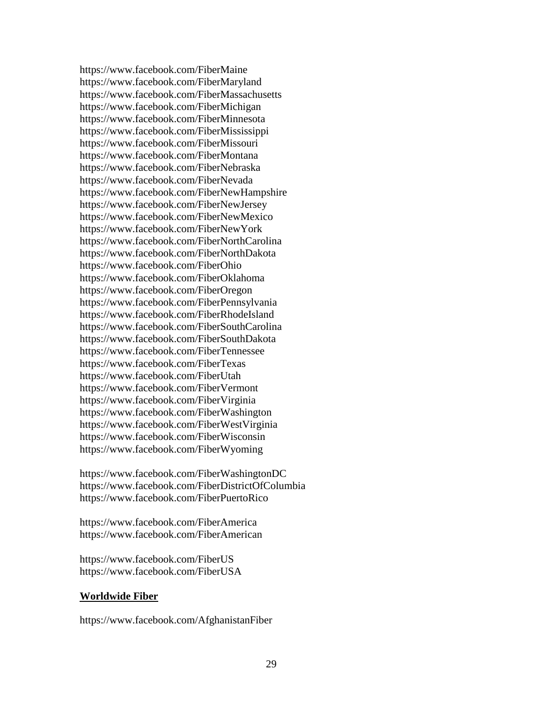https://www.facebook.com/FiberMaine https://www.facebook.com/FiberMaryland https://www.facebook.com/FiberMassachusetts https://www.facebook.com/FiberMichigan https://www.facebook.com/FiberMinnesota https://www.facebook.com/FiberMississippi https://www.facebook.com/FiberMissouri https://www.facebook.com/FiberMontana https://www.facebook.com/FiberNebraska https://www.facebook.com/FiberNevada https://www.facebook.com/FiberNewHampshire https://www.facebook.com/FiberNewJersey https://www.facebook.com/FiberNewMexico https://www.facebook.com/FiberNewYork https://www.facebook.com/FiberNorthCarolina https://www.facebook.com/FiberNorthDakota https://www.facebook.com/FiberOhio https://www.facebook.com/FiberOklahoma https://www.facebook.com/FiberOregon https://www.facebook.com/FiberPennsylvania https://www.facebook.com/FiberRhodeIsland https://www.facebook.com/FiberSouthCarolina https://www.facebook.com/FiberSouthDakota https://www.facebook.com/FiberTennessee https://www.facebook.com/FiberTexas https://www.facebook.com/FiberUtah https://www.facebook.com/FiberVermont https://www.facebook.com/FiberVirginia https://www.facebook.com/FiberWashington https://www.facebook.com/FiberWestVirginia https://www.facebook.com/FiberWisconsin https://www.facebook.com/FiberWyoming

https://www.facebook.com/FiberWashingtonDC https://www.facebook.com/FiberDistrictOfColumbia https://www.facebook.com/FiberPuertoRico

https://www.facebook.com/FiberAmerica https://www.facebook.com/FiberAmerican

https://www.facebook.com/FiberUS https://www.facebook.com/FiberUSA

### **Worldwide Fiber**

https://www.facebook.com/AfghanistanFiber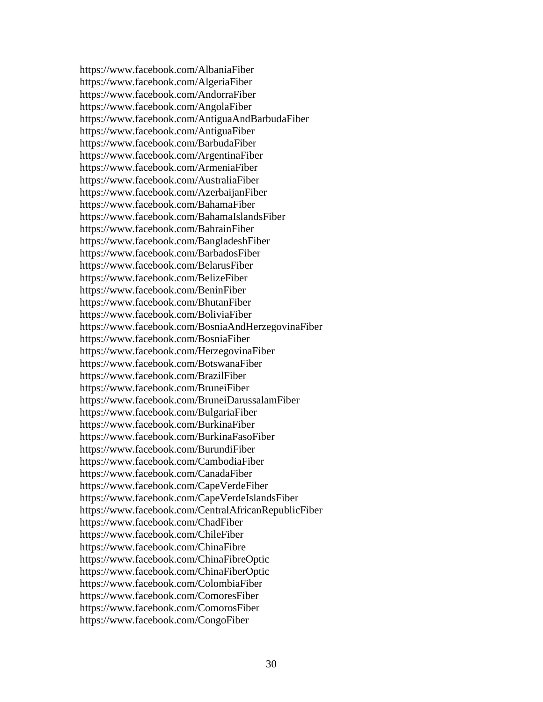https://www.facebook.com/AlbaniaFiber https://www.facebook.com/AlgeriaFiber https://www.facebook.com/AndorraFiber https://www.facebook.com/AngolaFiber https://www.facebook.com/AntiguaAndBarbudaFiber https://www.facebook.com/AntiguaFiber https://www.facebook.com/BarbudaFiber https://www.facebook.com/ArgentinaFiber https://www.facebook.com/ArmeniaFiber https://www.facebook.com/AustraliaFiber https://www.facebook.com/AzerbaijanFiber https://www.facebook.com/BahamaFiber https://www.facebook.com/BahamaIslandsFiber https://www.facebook.com/BahrainFiber https://www.facebook.com/BangladeshFiber https://www.facebook.com/BarbadosFiber https://www.facebook.com/BelarusFiber https://www.facebook.com/BelizeFiber https://www.facebook.com/BeninFiber https://www.facebook.com/BhutanFiber https://www.facebook.com/BoliviaFiber https://www.facebook.com/BosniaAndHerzegovinaFiber https://www.facebook.com/BosniaFiber https://www.facebook.com/HerzegovinaFiber https://www.facebook.com/BotswanaFiber https://www.facebook.com/BrazilFiber https://www.facebook.com/BruneiFiber https://www.facebook.com/BruneiDarussalamFiber https://www.facebook.com/BulgariaFiber https://www.facebook.com/BurkinaFiber https://www.facebook.com/BurkinaFasoFiber https://www.facebook.com/BurundiFiber https://www.facebook.com/CambodiaFiber https://www.facebook.com/CanadaFiber https://www.facebook.com/CapeVerdeFiber https://www.facebook.com/CapeVerdeIslandsFiber https://www.facebook.com/CentralAfricanRepublicFiber https://www.facebook.com/ChadFiber https://www.facebook.com/ChileFiber https://www.facebook.com/ChinaFibre https://www.facebook.com/ChinaFibreOptic https://www.facebook.com/ChinaFiberOptic https://www.facebook.com/ColombiaFiber https://www.facebook.com/ComoresFiber https://www.facebook.com/ComorosFiber https://www.facebook.com/CongoFiber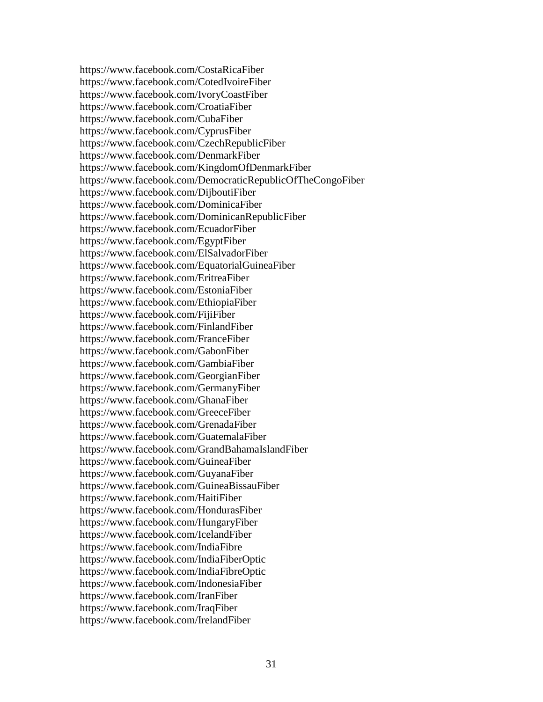https://www.facebook.com/CostaRicaFiber https://www.facebook.com/CotedIvoireFiber https://www.facebook.com/IvoryCoastFiber https://www.facebook.com/CroatiaFiber https://www.facebook.com/CubaFiber https://www.facebook.com/CyprusFiber https://www.facebook.com/CzechRepublicFiber https://www.facebook.com/DenmarkFiber https://www.facebook.com/KingdomOfDenmarkFiber https://www.facebook.com/DemocraticRepublicOfTheCongoFiber https://www.facebook.com/DijboutiFiber https://www.facebook.com/DominicaFiber https://www.facebook.com/DominicanRepublicFiber https://www.facebook.com/EcuadorFiber https://www.facebook.com/EgyptFiber https://www.facebook.com/ElSalvadorFiber https://www.facebook.com/EquatorialGuineaFiber https://www.facebook.com/EritreaFiber https://www.facebook.com/EstoniaFiber https://www.facebook.com/EthiopiaFiber https://www.facebook.com/FijiFiber https://www.facebook.com/FinlandFiber https://www.facebook.com/FranceFiber https://www.facebook.com/GabonFiber https://www.facebook.com/GambiaFiber https://www.facebook.com/GeorgianFiber https://www.facebook.com/GermanyFiber https://www.facebook.com/GhanaFiber https://www.facebook.com/GreeceFiber https://www.facebook.com/GrenadaFiber https://www.facebook.com/GuatemalaFiber https://www.facebook.com/GrandBahamaIslandFiber https://www.facebook.com/GuineaFiber https://www.facebook.com/GuyanaFiber https://www.facebook.com/GuineaBissauFiber https://www.facebook.com/HaitiFiber https://www.facebook.com/HondurasFiber https://www.facebook.com/HungaryFiber https://www.facebook.com/IcelandFiber https://www.facebook.com/IndiaFibre https://www.facebook.com/IndiaFiberOptic https://www.facebook.com/IndiaFibreOptic https://www.facebook.com/IndonesiaFiber https://www.facebook.com/IranFiber https://www.facebook.com/IraqFiber https://www.facebook.com/IrelandFiber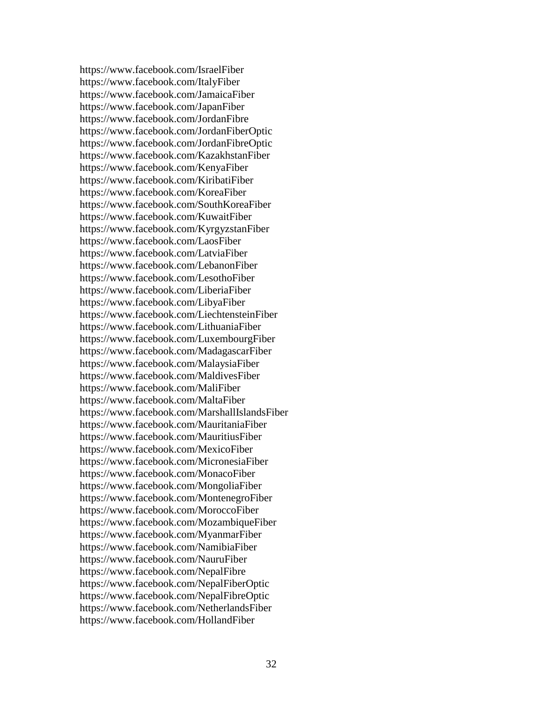https://www.facebook.com/IsraelFiber https://www.facebook.com/ItalyFiber https://www.facebook.com/JamaicaFiber https://www.facebook.com/JapanFiber https://www.facebook.com/JordanFibre https://www.facebook.com/JordanFiberOptic https://www.facebook.com/JordanFibreOptic https://www.facebook.com/KazakhstanFiber https://www.facebook.com/KenyaFiber https://www.facebook.com/KiribatiFiber https://www.facebook.com/KoreaFiber https://www.facebook.com/SouthKoreaFiber https://www.facebook.com/KuwaitFiber https://www.facebook.com/KyrgyzstanFiber https://www.facebook.com/LaosFiber https://www.facebook.com/LatviaFiber https://www.facebook.com/LebanonFiber https://www.facebook.com/LesothoFiber https://www.facebook.com/LiberiaFiber https://www.facebook.com/LibyaFiber https://www.facebook.com/LiechtensteinFiber https://www.facebook.com/LithuaniaFiber https://www.facebook.com/LuxembourgFiber https://www.facebook.com/MadagascarFiber https://www.facebook.com/MalaysiaFiber https://www.facebook.com/MaldivesFiber https://www.facebook.com/MaliFiber https://www.facebook.com/MaltaFiber https://www.facebook.com/MarshallIslandsFiber https://www.facebook.com/MauritaniaFiber https://www.facebook.com/MauritiusFiber https://www.facebook.com/MexicoFiber https://www.facebook.com/MicronesiaFiber https://www.facebook.com/MonacoFiber https://www.facebook.com/MongoliaFiber https://www.facebook.com/MontenegroFiber https://www.facebook.com/MoroccoFiber https://www.facebook.com/MozambiqueFiber https://www.facebook.com/MyanmarFiber https://www.facebook.com/NamibiaFiber https://www.facebook.com/NauruFiber https://www.facebook.com/NepalFibre https://www.facebook.com/NepalFiberOptic https://www.facebook.com/NepalFibreOptic https://www.facebook.com/NetherlandsFiber https://www.facebook.com/HollandFiber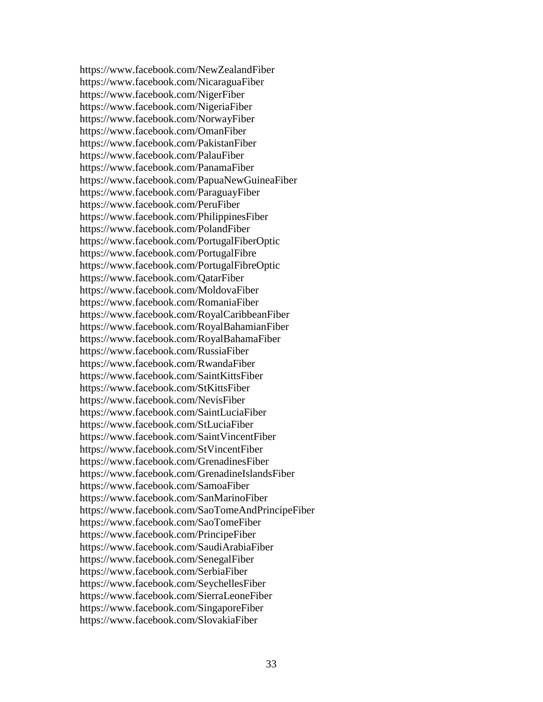https://www.facebook.com/NewZealandFiber https://www.facebook.com/NicaraguaFiber https://www.facebook.com/NigerFiber https://www.facebook.com/NigeriaFiber https://www.facebook.com/NorwayFiber https://www.facebook.com/OmanFiber https://www.facebook.com/PakistanFiber https://www.facebook.com/PalauFiber https://www.facebook.com/PanamaFiber https://www.facebook.com/PapuaNewGuineaFiber https://www.facebook.com/ParaguayFiber https://www.facebook.com/PeruFiber https://www.facebook.com/PhilippinesFiber https://www.facebook.com/PolandFiber https://www.facebook.com/PortugalFiberOptic https://www.facebook.com/PortugalFibre https://www.facebook.com/PortugalFibreOptic https://www.facebook.com/QatarFiber https://www.facebook.com/MoldovaFiber https://www.facebook.com/RomaniaFiber https://www.facebook.com/RoyalCaribbeanFiber https://www.facebook.com/RoyalBahamianFiber https://www.facebook.com/RoyalBahamaFiber https://www.facebook.com/RussiaFiber https://www.facebook.com/RwandaFiber https://www.facebook.com/SaintKittsFiber https://www.facebook.com/StKittsFiber https://www.facebook.com/NevisFiber https://www.facebook.com/SaintLuciaFiber https://www.facebook.com/StLuciaFiber https://www.facebook.com/SaintVincentFiber https://www.facebook.com/StVincentFiber https://www.facebook.com/GrenadinesFiber https://www.facebook.com/GrenadineIslandsFiber https://www.facebook.com/SamoaFiber https://www.facebook.com/SanMarinoFiber https://www.facebook.com/SaoTomeAndPrincipeFiber https://www.facebook.com/SaoTomeFiber https://www.facebook.com/PrincipeFiber https://www.facebook.com/SaudiArabiaFiber https://www.facebook.com/SenegalFiber https://www.facebook.com/SerbiaFiber https://www.facebook.com/SeychellesFiber https://www.facebook.com/SierraLeoneFiber https://www.facebook.com/SingaporeFiber https://www.facebook.com/SlovakiaFiber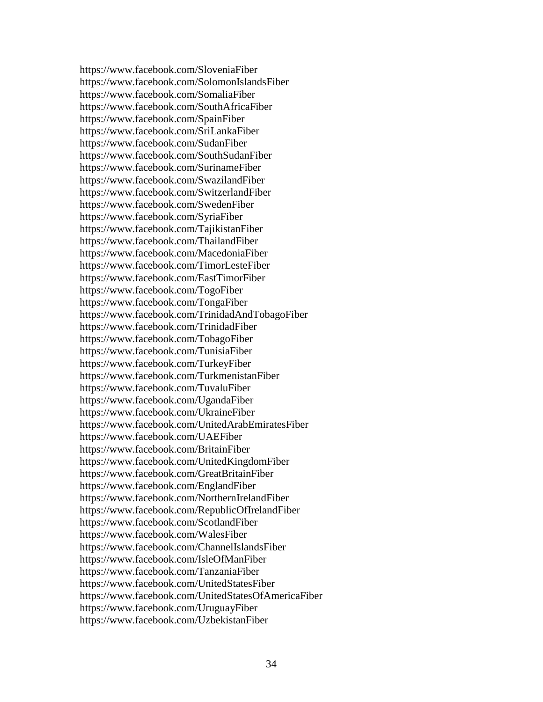https://www.facebook.com/SloveniaFiber https://www.facebook.com/SolomonIslandsFiber https://www.facebook.com/SomaliaFiber https://www.facebook.com/SouthAfricaFiber https://www.facebook.com/SpainFiber https://www.facebook.com/SriLankaFiber https://www.facebook.com/SudanFiber https://www.facebook.com/SouthSudanFiber https://www.facebook.com/SurinameFiber https://www.facebook.com/SwazilandFiber https://www.facebook.com/SwitzerlandFiber https://www.facebook.com/SwedenFiber https://www.facebook.com/SyriaFiber https://www.facebook.com/TajikistanFiber https://www.facebook.com/ThailandFiber https://www.facebook.com/MacedoniaFiber https://www.facebook.com/TimorLesteFiber https://www.facebook.com/EastTimorFiber https://www.facebook.com/TogoFiber https://www.facebook.com/TongaFiber https://www.facebook.com/TrinidadAndTobagoFiber https://www.facebook.com/TrinidadFiber https://www.facebook.com/TobagoFiber https://www.facebook.com/TunisiaFiber https://www.facebook.com/TurkeyFiber https://www.facebook.com/TurkmenistanFiber https://www.facebook.com/TuvaluFiber https://www.facebook.com/UgandaFiber https://www.facebook.com/UkraineFiber https://www.facebook.com/UnitedArabEmiratesFiber https://www.facebook.com/UAEFiber https://www.facebook.com/BritainFiber https://www.facebook.com/UnitedKingdomFiber https://www.facebook.com/GreatBritainFiber https://www.facebook.com/EnglandFiber https://www.facebook.com/NorthernIrelandFiber https://www.facebook.com/RepublicOfIrelandFiber https://www.facebook.com/ScotlandFiber https://www.facebook.com/WalesFiber https://www.facebook.com/ChannelIslandsFiber https://www.facebook.com/IsleOfManFiber https://www.facebook.com/TanzaniaFiber https://www.facebook.com/UnitedStatesFiber https://www.facebook.com/UnitedStatesOfAmericaFiber https://www.facebook.com/UruguayFiber https://www.facebook.com/UzbekistanFiber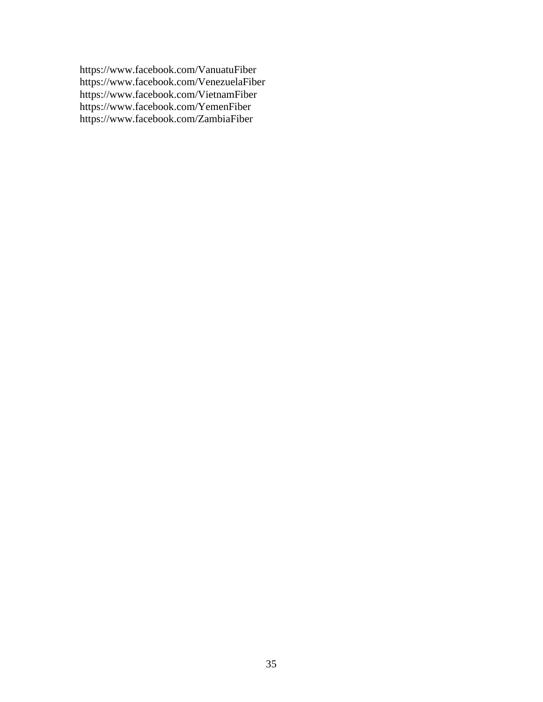https://www.facebook.com/VanuatuFiber https://www.facebook.com/VenezuelaFiber https://www.facebook.com/VietnamFiber https://www.facebook.com/YemenFiber https://www.facebook.com/ZambiaFiber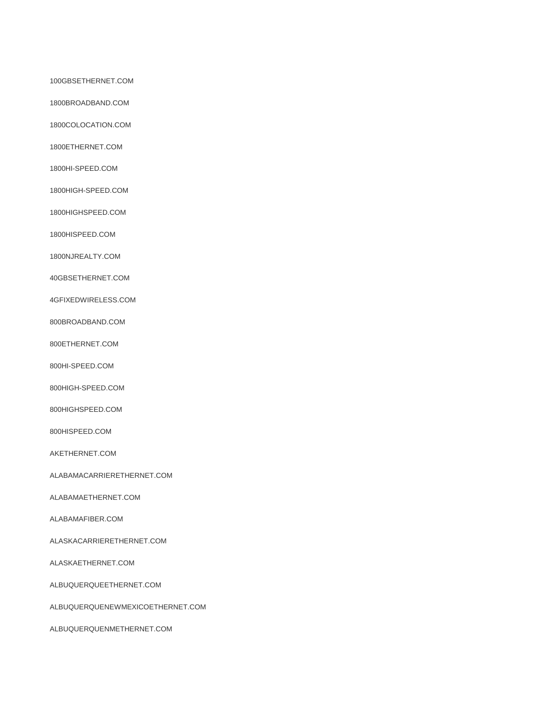100GBSETHERNET.COM

1800BROADBAND.COM

1800COLOCATION.COM

1800ETHERNET.COM

1800HI-SPEED.COM

1800HIGH-SPEED.COM

1800HIGHSPEED.COM

1800HISPEED.COM

1800NJREALTY.COM

40GBSETHERNET.COM

4GFIXEDWIRELESS.COM

800BROADBAND.COM

800ETHERNET.COM

800HI-SPEED.COM

800HIGH-SPEED.COM

800HIGHSPEED.COM

800HISPEED.COM

AKETHERNET.COM

ALABAMACARRIERETHERNET.COM

ALABAMAETHERNET.COM

ALABAMAFIBER.COM

ALASKACARRIERETHERNET.COM

ALASKAETHERNET.COM

ALBUQUERQUEETHERNET.COM

ALBUQUERQUENEWMEXICOETHERNET.COM

ALBUQUERQUENMETHERNET.COM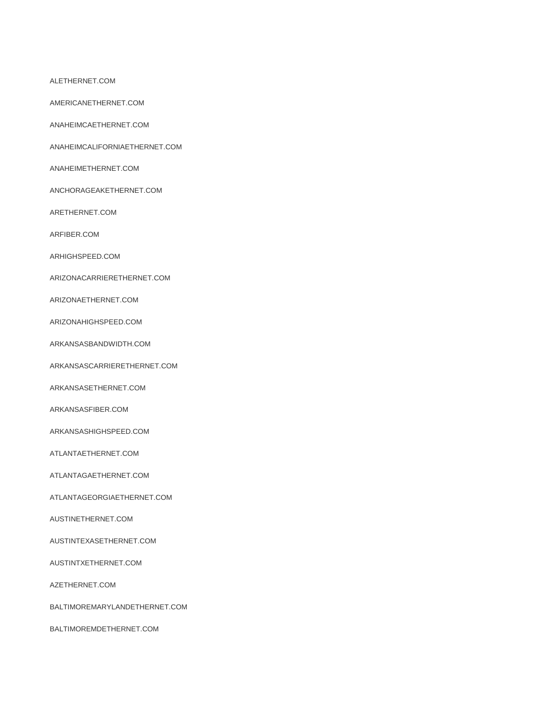ALETHERNET.COM

AMERICANETHERNET.COM

ANAHEIMCAETHERNET.COM

ANAHEIMCALIFORNIAETHERNET.COM

ANAHEIMETHERNET.COM

ANCHORAGEAKETHERNET.COM

ARETHERNET.COM

ARFIBER.COM

ARHIGHSPEED.COM

ARIZONACARRIERETHERNET.COM

ARIZONAETHERNET.COM

ARIZONAHIGHSPEED.COM

ARKANSASBANDWIDTH.COM

ARKANSASCARRIERETHERNET.COM

ARKANSASETHERNET.COM

ARKANSASFIBER.COM

ARKANSASHIGHSPEED.COM

ATLANTAETHERNET.COM

ATLANTAGAETHERNET.COM

ATLANTAGEORGIAETHERNET.COM

AUSTINETHERNET.COM

AUSTINTEXASETHERNET.COM

AUSTINTXETHERNET.COM

AZETHERNET.COM

BALTIMOREMARYLANDETHERNET.COM

BALTIMOREMDETHERNET.COM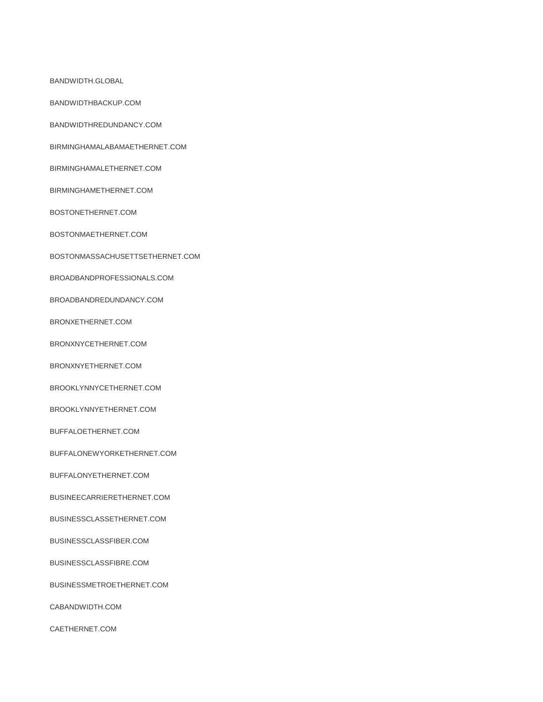BANDWIDTH.GLOBAL

BANDWIDTHBACKUP.COM

BANDWIDTHREDUNDANCY.COM

BIRMINGHAMALABAMAETHERNET.COM

BIRMINGHAMALETHERNET.COM

BIRMINGHAMETHERNET.COM

BOSTONETHERNET.COM

BOSTONMAETHERNET.COM

BOSTONMASSACHUSETTSETHERNET.COM

BROADBANDPROFESSIONALS.COM

BROADBANDREDUNDANCY.COM

BRONXETHERNET.COM

BRONXNYCETHERNET.COM

BRONXNYETHERNET.COM

BROOKLYNNYCETHERNET.COM

BROOKLYNNYETHERNET.COM

BUFFALOETHERNET.COM

BUFFALONEWYORKETHERNET.COM

BUFFALONYETHERNET.COM

BUSINEECARRIERETHERNET.COM

BUSINESSCLASSETHERNET.COM

BUSINESSCLASSFIBER.COM

BUSINESSCLASSFIBRE.COM

BUSINESSMETROETHERNET.COM

CABANDWIDTH.COM

CAETHERNET.COM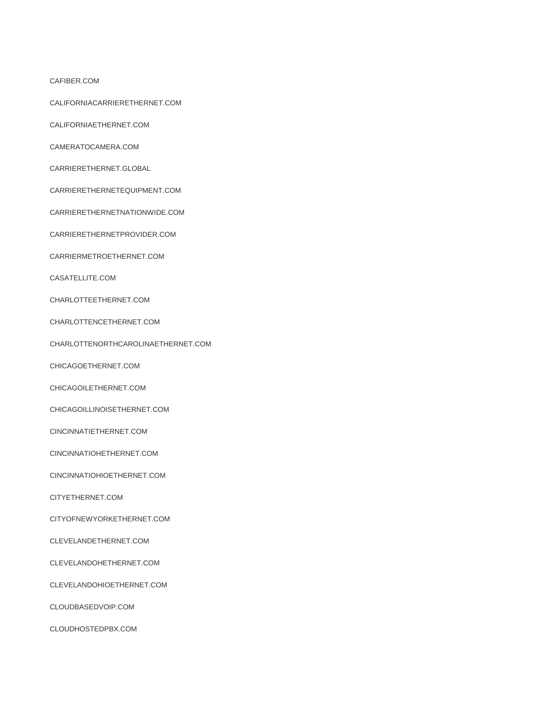CAFIBER.COM

CALIFORNIACARRIERETHERNET.COM

CALIFORNIAETHERNET.COM

CAMERATOCAMERA.COM

CARRIERETHERNET.GLOBAL

CARRIERETHERNETEQUIPMENT.COM

CARRIERETHERNETNATIONWIDE.COM

CARRIERETHERNETPROVIDER.COM

CARRIERMETROETHERNET.COM

CASATELLITE.COM

CHARLOTTEETHERNET.COM

CHARLOTTENCETHERNET.COM

CHARLOTTENORTHCAROLINAETHERNET.COM

CHICAGOETHERNET.COM

CHICAGOILETHERNET.COM

CHICAGOILLINOISETHERNET.COM

CINCINNATIETHERNET.COM

CINCINNATIOHETHERNET.COM

CINCINNATIOHIOETHERNET.COM

CITYETHERNET.COM

CITYOFNEWYORKETHERNET.COM

CLEVELANDETHERNET.COM

CLEVELANDOHETHERNET.COM

CLEVELANDOHIOETHERNET.COM

CLOUDBASEDVOIP.COM

CLOUDHOSTEDPBX.COM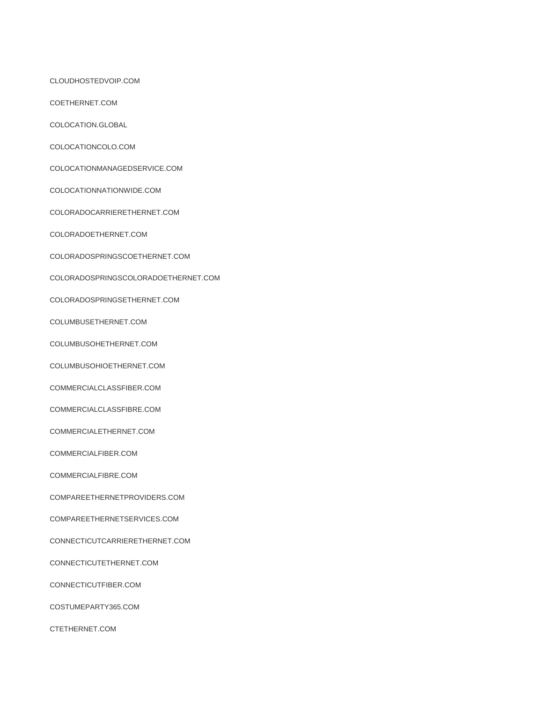CLOUDHOSTEDVOIP.COM

COETHERNET.COM

COLOCATION.GLOBAL

COLOCATIONCOLO.COM

COLOCATIONMANAGEDSERVICE.COM

COLOCATIONNATIONWIDE.COM

COLORADOCARRIERETHERNET.COM

COLORADOETHERNET.COM

COLORADOSPRINGSCOETHERNET.COM

COLORADOSPRINGSCOLORADOETHERNET.COM

COLORADOSPRINGSETHERNET.COM

COLUMBUSETHERNET.COM

COLUMBUSOHETHERNET.COM

COLUMBUSOHIOETHERNET.COM

COMMERCIALCLASSFIBER.COM

COMMERCIALCLASSFIBRE.COM

COMMERCIALETHERNET.COM

COMMERCIALFIBER.COM

COMMERCIALFIBRE.COM

COMPAREETHERNETPROVIDERS.COM

COMPAREETHERNETSERVICES.COM

CONNECTICUTCARRIERETHERNET.COM

CONNECTICUTETHERNET.COM

CONNECTICUTFIBER.COM

COSTUMEPARTY365.COM

CTETHERNET.COM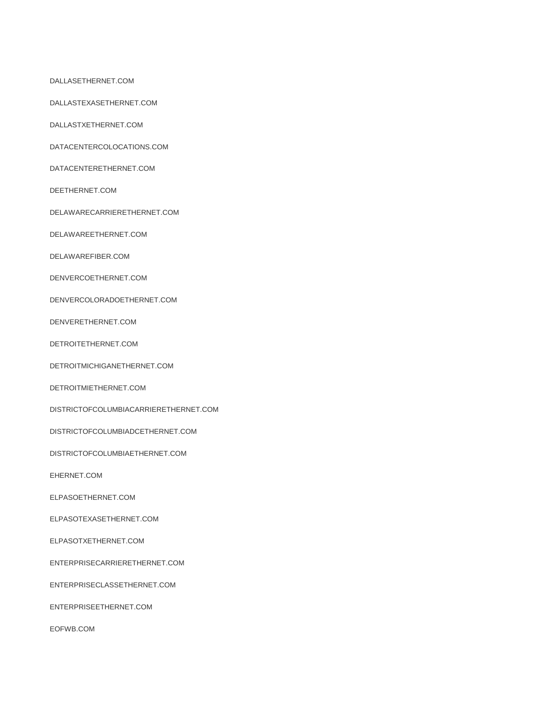DALLASETHERNET.COM

DALLASTEXASETHERNET.COM

DALLASTXETHERNET.COM

DATACENTERCOLOCATIONS.COM

DATACENTERETHERNET.COM

DEETHERNET.COM

DELAWARECARRIERETHERNET.COM

DELAWAREETHERNET.COM

DELAWAREFIBER.COM

DENVERCOETHERNET.COM

DENVERCOLORADOETHERNET.COM

DENVERETHERNET.COM

DETROITETHERNET.COM

DETROITMICHIGANETHERNET.COM

DETROITMIETHERNET.COM

DISTRICTOFCOLUMBIACARRIERETHERNET.COM

DISTRICTOFCOLUMBIADCETHERNET.COM

DISTRICTOFCOLUMBIAETHERNET.COM

EHERNET.COM

ELPASOETHERNET.COM

ELPASOTEXASETHERNET.COM

ELPASOTXETHERNET.COM

ENTERPRISECARRIERETHERNET.COM

ENTERPRISECLASSETHERNET.COM

ENTERPRISEETHERNET.COM

EOFWB.COM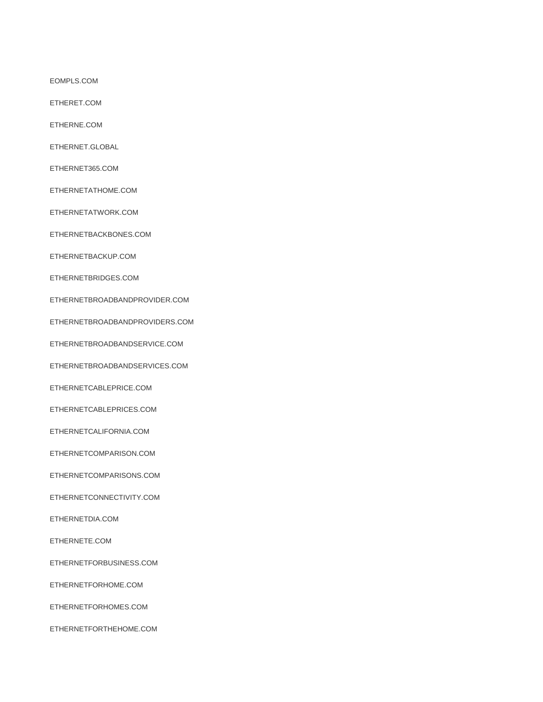EOMPLS.COM

ETHERET.COM

ETHERNE.COM

ETHERNET.GLOBAL

ETHERNET365.COM

ETHERNETATHOME.COM

ETHERNETATWORK.COM

ETHERNETBACKBONES.COM

ETHERNETBACKUP.COM

ETHERNETBRIDGES.COM

ETHERNETBROADBANDPROVIDER.COM

ETHERNETBROADBANDPROVIDERS.COM

ETHERNETBROADBANDSERVICE.COM

ETHERNETBROADBANDSERVICES.COM

ETHERNETCABLEPRICE.COM

ETHERNETCABLEPRICES.COM

ETHERNETCALIFORNIA.COM

ETHERNETCOMPARISON.COM

ETHERNETCOMPARISONS.COM

ETHERNETCONNECTIVITY.COM

ETHERNETDIA.COM

ETHERNETE.COM

ETHERNETFORBUSINESS.COM

ETHERNETFORHOME.COM

ETHERNETFORHOMES.COM

ETHERNETFORTHEHOME.COM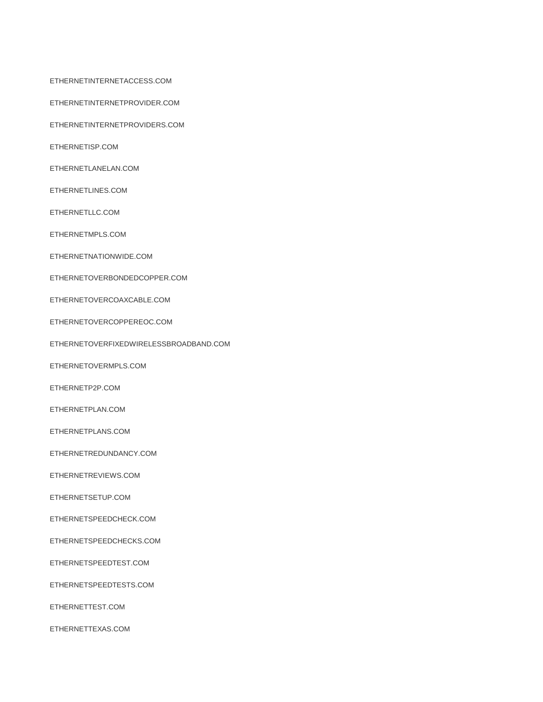ETHERNETINTERNETACCESS.COM

ETHERNETINTERNETPROVIDER.COM

ETHERNETINTERNETPROVIDERS.COM

ETHERNETISP.COM

ETHERNETLANELAN.COM

ETHERNETLINES.COM

ETHERNETLLC.COM

ETHERNETMPLS.COM

ETHERNETNATIONWIDE.COM

ETHERNETOVERBONDEDCOPPER.COM

ETHERNETOVERCOAXCABLE.COM

ETHERNETOVERCOPPEREOC.COM

ETHERNETOVERFIXEDWIRELESSBROADBAND.COM

ETHERNETOVERMPLS.COM

ETHERNETP2P.COM

ETHERNETPLAN.COM

ETHERNETPLANS.COM

ETHERNETREDUNDANCY.COM

ETHERNETREVIEWS.COM

ETHERNETSETUP.COM

ETHERNETSPEEDCHECK.COM

ETHERNETSPEEDCHECKS.COM

ETHERNETSPEEDTEST.COM

ETHERNETSPEEDTESTS.COM

ETHERNETTEST.COM

ETHERNETTEXAS.COM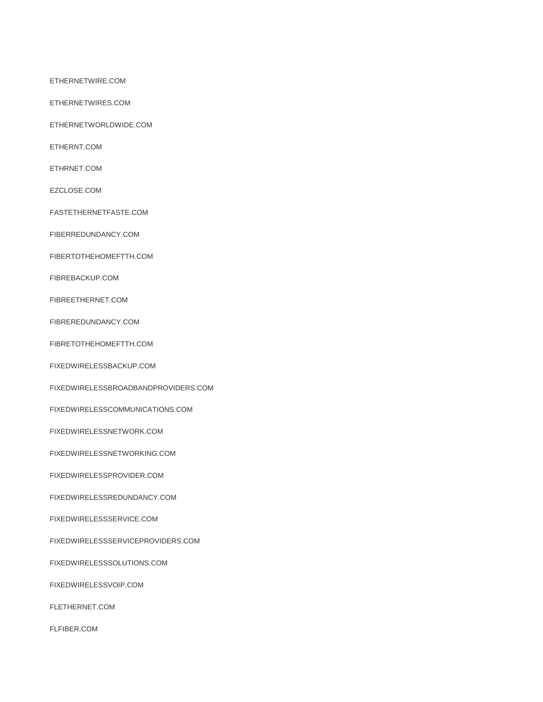ETHERNETWIRE.COM

ETHERNETWIRES.COM

ETHERNETWORLDWIDE.COM

ETHERNT.COM

ETHRNET.COM

EZCLOSE.COM

FASTETHERNETFASTE.COM

FIBERREDUNDANCY.COM

FIBERTOTHEHOMEFTTH.COM

FIBREBACKUP.COM

FIBREETHERNET.COM

FIBREREDUNDANCY.COM

FIBRETOTHEHOMEFTTH.COM

FIXEDWIRELESSBACKUP.COM

FIXEDWIRELESSBROADBANDPROVIDERS.COM

FIXEDWIRELESSCOMMUNICATIONS.COM

FIXEDWIRELESSNETWORK.COM

FIXEDWIRELESSNETWORKING.COM

FIXEDWIRELESSPROVIDER.COM

FIXEDWIRELESSREDUNDANCY.COM

FIXEDWIRELESSSERVICE.COM

FIXEDWIRELESSSERVICEPROVIDERS.COM

FIXEDWIRELESSSOLUTIONS.COM

FIXEDWIRELESSVOIP.COM

FLETHERNET.COM

FLFIBER.COM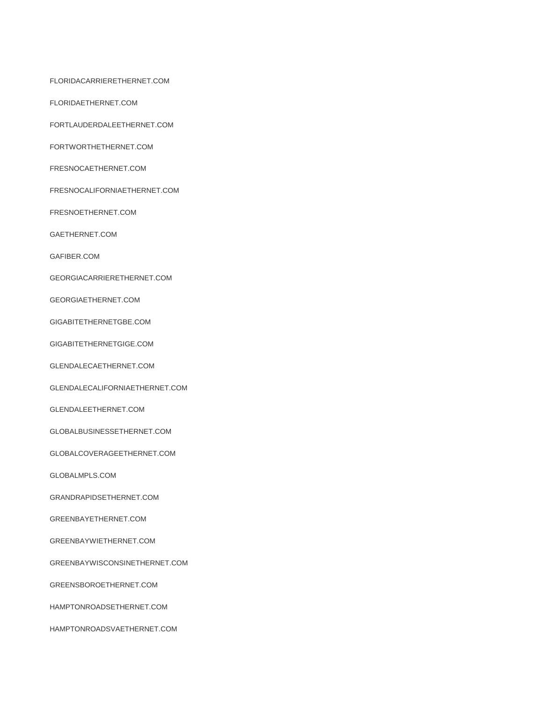FLORIDACARRIERETHERNET.COM

FLORIDAETHERNET.COM

FORTLAUDERDALEETHERNET.COM

FORTWORTHETHERNET.COM

FRESNOCAETHERNET.COM

FRESNOCALIFORNIAETHERNET.COM

FRESNOETHERNET.COM

GAETHERNET.COM

GAFIBER.COM

GEORGIACARRIERETHERNET.COM

GEORGIAETHERNET.COM

GIGABITETHERNETGBE.COM

GIGABITETHERNETGIGE.COM

GLENDALECAETHERNET.COM

GLENDALECALIFORNIAETHERNET.COM

GLENDALEETHERNET.COM

GLOBALBUSINESSETHERNET.COM

GLOBALCOVERAGEETHERNET.COM

GLOBALMPLS.COM

GRANDRAPIDSETHERNET.COM

GREENBAYETHERNET.COM

GREENBAYWIETHERNET.COM

GREENBAYWISCONSINETHERNET.COM

GREENSBOROETHERNET.COM

HAMPTONROADSETHERNET.COM

HAMPTONROADSVAETHERNET.COM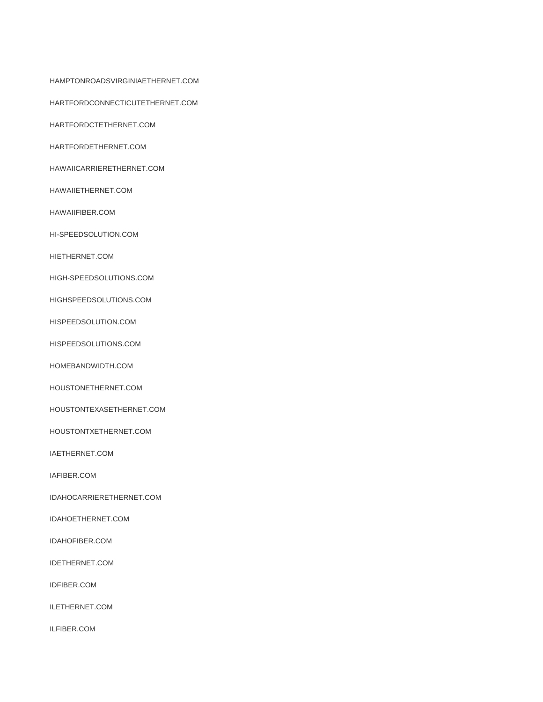HAMPTONROADSVIRGINIAETHERNET.COM

HARTFORDCONNECTICUTETHERNET.COM

HARTFORDCTETHERNET.COM

HARTFORDETHERNET.COM

HAWAIICARRIERETHERNET.COM

HAWAIIETHERNET.COM

HAWAIIFIBER.COM

HI-SPEEDSOLUTION.COM

HIETHERNET.COM

HIGH-SPEEDSOLUTIONS.COM

HIGHSPEEDSOLUTIONS.COM

HISPEEDSOLUTION.COM

HISPEEDSOLUTIONS.COM

HOMEBANDWIDTH.COM

HOUSTONETHERNET.COM

HOUSTONTEXASETHERNET.COM

HOUSTONTXETHERNET.COM

IAETHERNET.COM

IAFIBER.COM

IDAHOCARRIERETHERNET.COM

IDAHOETHERNET.COM

IDAHOFIBER.COM

IDETHERNET.COM

IDFIBER.COM

ILETHERNET.COM

ILFIBER.COM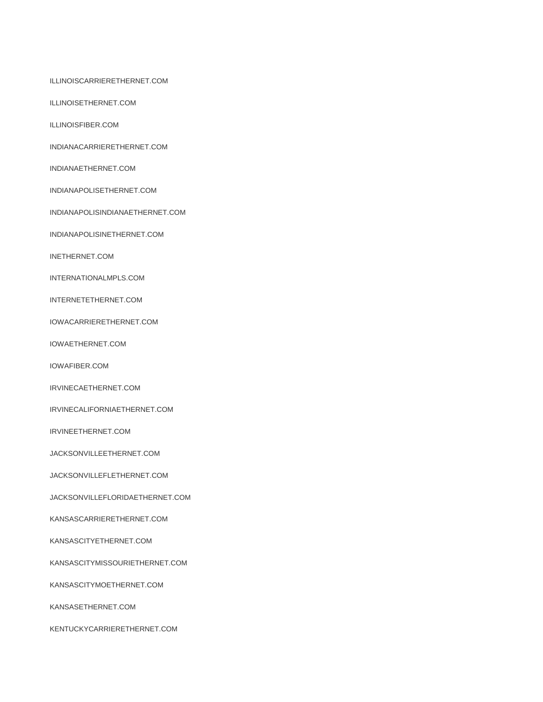ILLINOISCARRIERETHERNET.COM

ILLINOISETHERNET.COM

ILLINOISFIBER.COM

INDIANACARRIERETHERNET.COM

INDIANAETHERNET.COM

INDIANAPOLISETHERNET.COM

INDIANAPOLISINDIANAETHERNET.COM

INDIANAPOLISINETHERNET.COM

INETHERNET.COM

INTERNATIONALMPLS.COM

INTERNETETHERNET.COM

IOWACARRIERETHERNET.COM

IOWAETHERNET.COM

IOWAFIBER.COM

IRVINECAETHERNET.COM

IRVINECALIFORNIAETHERNET.COM

IRVINEETHERNET.COM

JACKSONVILLEETHERNET.COM

JACKSONVILLEFLETHERNET.COM

JACKSONVILLEFLORIDAETHERNET.COM

KANSASCARRIERETHERNET.COM

KANSASCITYETHERNET.COM

KANSASCITYMISSOURIETHERNET.COM

KANSASCITYMOETHERNET.COM

KANSASETHERNET.COM

KENTUCKYCARRIERETHERNET.COM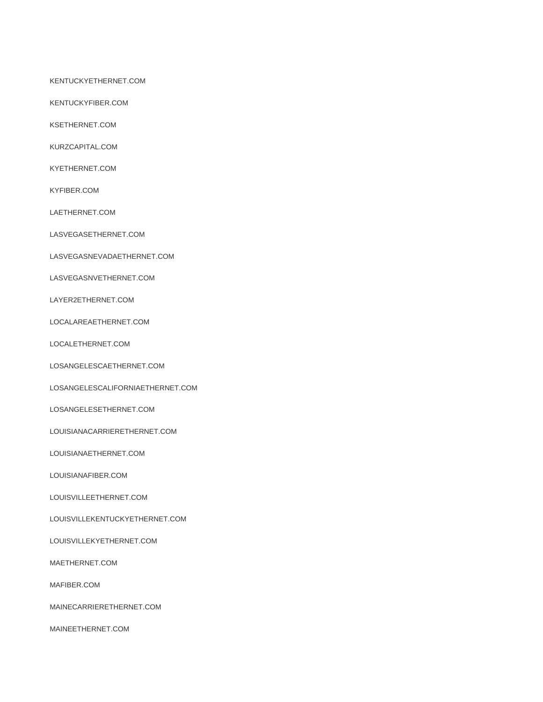#### KENTUCKYETHERNET.COM

KENTUCKYFIBER.COM

KSETHERNET.COM

KURZCAPITAL.COM

KYETHERNET.COM

KYFIBER.COM

LAETHERNET.COM

LASVEGASETHERNET.COM

LASVEGASNEVADAETHERNET.COM

LASVEGASNVETHERNET.COM

LAYER2ETHERNET.COM

LOCALAREAETHERNET.COM

LOCALETHERNET.COM

LOSANGELESCAETHERNET.COM

LOSANGELESCALIFORNIAETHERNET.COM

LOSANGELESETHERNET.COM

LOUISIANACARRIERETHERNET.COM

LOUISIANAETHERNET.COM

LOUISIANAFIBER.COM

LOUISVILLEETHERNET.COM

LOUISVILLEKENTUCKYETHERNET.COM

LOUISVILLEKYETHERNET.COM

MAETHERNET.COM

MAFIBER.COM

MAINECARRIERETHERNET.COM

MAINEETHERNET.COM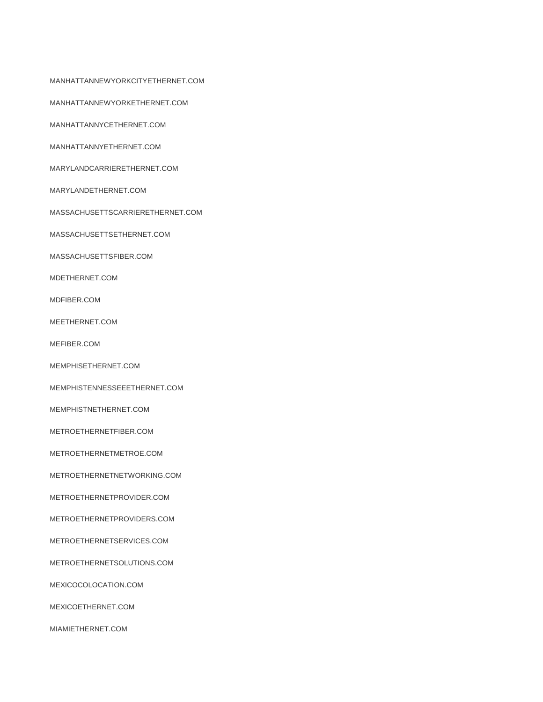MANHATTANNEWYORKCITYETHERNET.COM

MANHATTANNEWYORKETHERNET.COM

MANHATTANNYCETHERNET.COM

MANHATTANNYETHERNET.COM

MARYLANDCARRIERETHERNET.COM

MARYLANDETHERNET.COM

MASSACHUSETTSCARRIERETHERNET.COM

MASSACHUSETTSETHERNET.COM

MASSACHUSETTSFIBER.COM

MDETHERNET.COM

MDFIBER.COM

MEETHERNET.COM

MEFIBER.COM

MEMPHISETHERNET.COM

MEMPHISTENNESSEEETHERNET.COM

MEMPHISTNETHERNET.COM

METROETHERNETFIBER.COM

METROETHERNETMETROE.COM

METROETHERNETNETWORKING.COM

METROETHERNETPROVIDER.COM

METROETHERNETPROVIDERS.COM

METROETHERNETSERVICES.COM

METROETHERNETSOLUTIONS.COM

MEXICOCOLOCATION.COM

MEXICOETHERNET.COM

MIAMIETHERNET.COM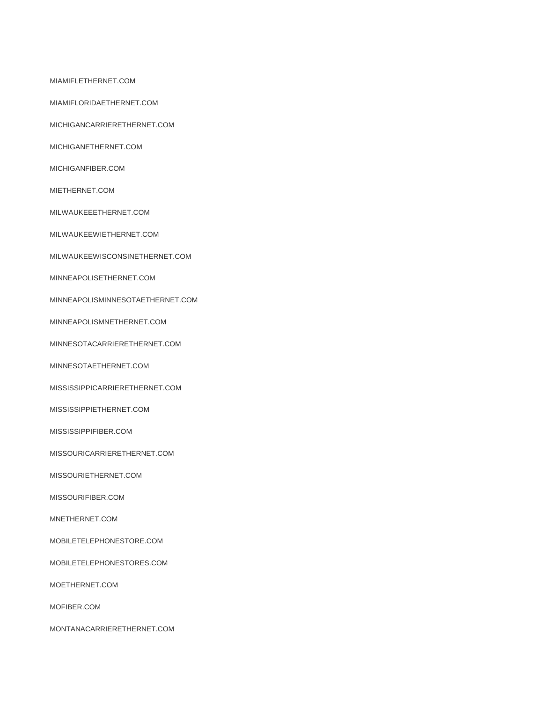MIAMIFLETHERNET.COM

MIAMIFLORIDAETHERNET.COM

MICHIGANCARRIERETHERNET.COM

MICHIGANETHERNET.COM

MICHIGANFIBER.COM

MIETHERNET.COM

MILWAUKEEETHERNET.COM

MILWAUKEEWIETHERNET.COM

MILWAUKEEWISCONSINETHERNET.COM

MINNEAPOLISETHERNET.COM

MINNEAPOLISMINNESOTAETHERNET.COM

MINNEAPOLISMNETHERNET.COM

MINNESOTACARRIERETHERNET.COM

MINNESOTAETHERNET.COM

MISSISSIPPICARRIERETHERNET.COM

MISSISSIPPIETHERNET.COM

MISSISSIPPIFIBER.COM

MISSOURICARRIERETHERNET.COM

MISSOURIETHERNET.COM

MISSOURIFIBER.COM

MNETHERNET.COM

MOBILETELEPHONESTORE.COM

MOBILETELEPHONESTORES.COM

MOETHERNET.COM

MOFIBER.COM

MONTANACARRIERETHERNET.COM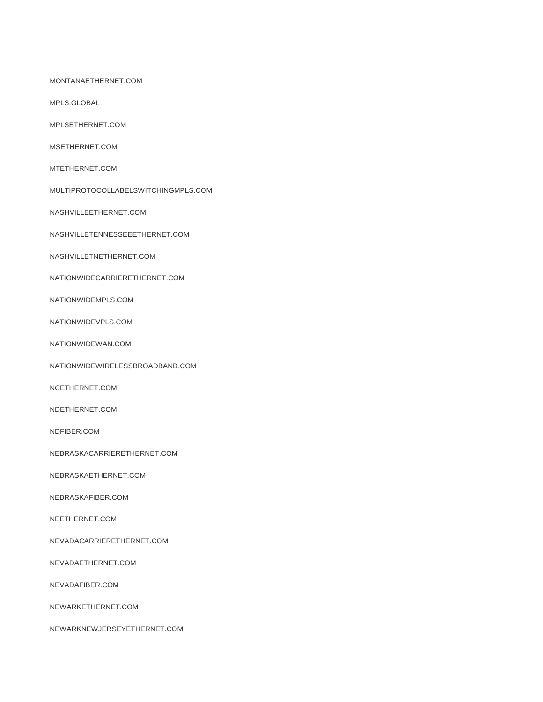#### MONTANAETHERNET.COM

MPLS.GLOBAL

MPLSETHERNET.COM

MSETHERNET.COM

MTETHERNET.COM

MULTIPROTOCOLLABELSWITCHINGMPLS.COM

NASHVILLEETHERNET.COM

NASHVILLETENNESSEEETHERNET.COM

NASHVILLETNETHERNET.COM

NATIONWIDECARRIERETHERNET.COM

NATIONWIDEMPLS.COM

NATIONWIDEVPLS.COM

NATIONWIDEWAN.COM

NATIONWIDEWIRELESSBROADBAND.COM

NCETHERNET.COM

NDETHERNET.COM

NDFIBER.COM

NEBRASKACARRIERETHERNET.COM

NEBRASKAETHERNET.COM

NEBRASKAFIBER.COM

NEETHERNET.COM

NEVADACARRIERETHERNET.COM

NEVADAETHERNET.COM

NEVADAFIBER.COM

NEWARKETHERNET.COM

NEWARKNEWJERSEYETHERNET.COM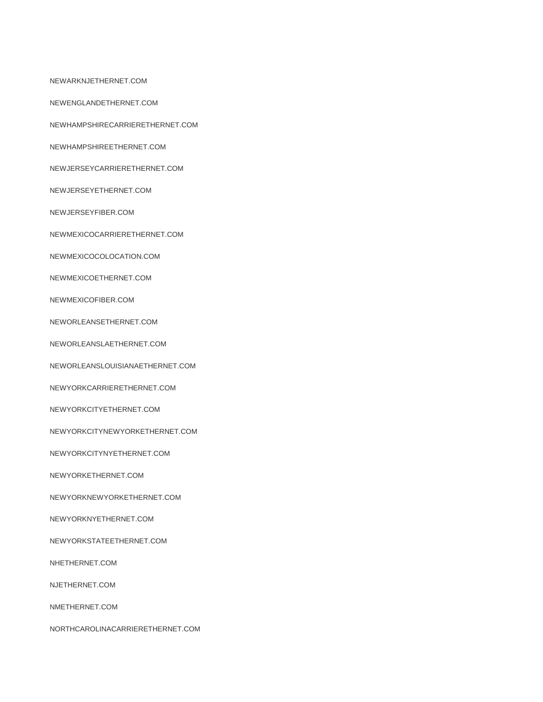NEWARKNJETHERNET.COM

NEWENGLANDETHERNET.COM

NEWHAMPSHIRECARRIERETHERNET.COM

NEWHAMPSHIREETHERNET.COM

NEWJERSEYCARRIERETHERNET.COM

NEWJERSEYETHERNET.COM

NEWJERSEYFIBER.COM

NEWMEXICOCARRIERETHERNET.COM

NEWMEXICOCOLOCATION.COM

NEWMEXICOETHERNET.COM

NEWMEXICOFIBER.COM

NEWORLEANSETHERNET.COM

NEWORLEANSLAETHERNET.COM

NEWORLEANSLOUISIANAETHERNET.COM

NEWYORKCARRIERETHERNET.COM

NEWYORKCITYETHERNET.COM

NEWYORKCITYNEWYORKETHERNET.COM

NEWYORKCITYNYETHERNET.COM

NEWYORKETHERNET.COM

NEWYORKNEWYORKETHERNET.COM

NEWYORKNYETHERNET.COM

NEWYORKSTATEETHERNET.COM

NHETHERNET.COM

NJETHERNET.COM

NMETHERNET.COM

NORTHCAROLINACARRIERETHERNET.COM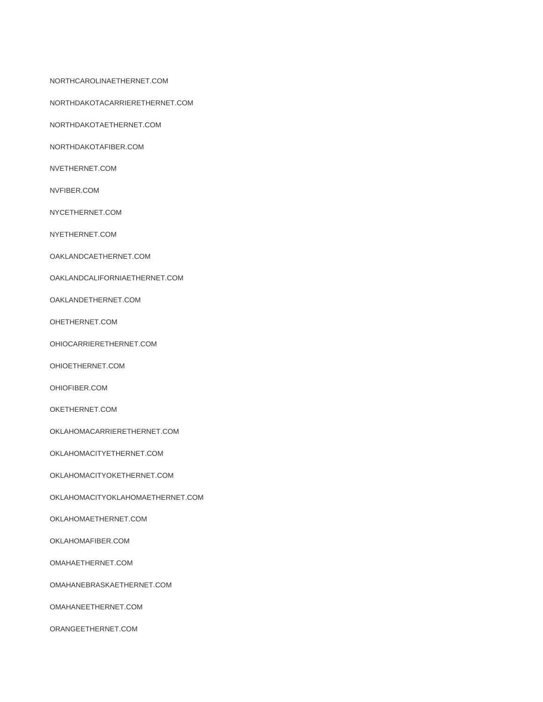NORTHCAROLINAETHERNET.COM

NORTHDAKOTACARRIERETHERNET.COM

NORTHDAKOTAETHERNET.COM

NORTHDAKOTAFIBER.COM

NVETHERNET.COM

NVFIBER.COM

NYCETHERNET.COM

NYETHERNET.COM

OAKLANDCAETHERNET.COM

OAKLANDCALIFORNIAETHERNET.COM

OAKLANDETHERNET.COM

OHETHERNET.COM

OHIOCARRIERETHERNET.COM

OHIOETHERNET.COM

OHIOFIBER.COM

OKETHERNET.COM

OKLAHOMACARRIERETHERNET.COM

OKLAHOMACITYETHERNET.COM

OKLAHOMACITYOKETHERNET.COM

OKLAHOMACITYOKLAHOMAETHERNET.COM

OKLAHOMAETHERNET.COM

OKLAHOMAFIBER.COM

OMAHAETHERNET.COM

OMAHANEBRASKAETHERNET.COM

OMAHANEETHERNET.COM

ORANGEETHERNET.COM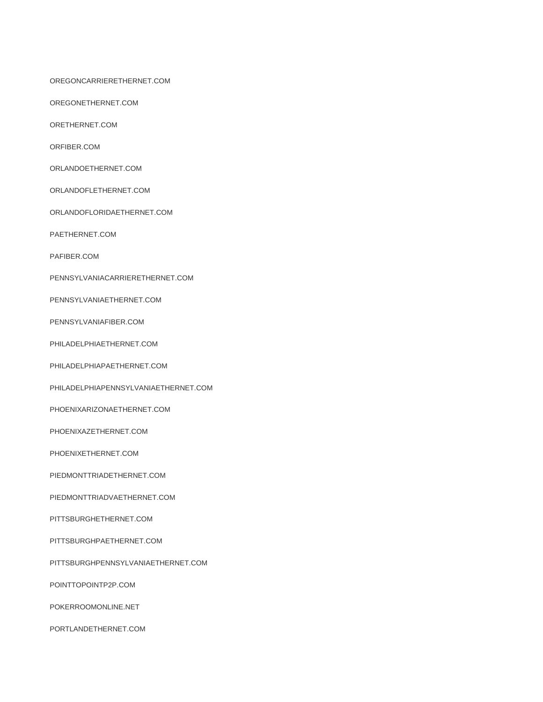OREGONCARRIERETHERNET.COM

OREGONETHERNET.COM

ORETHERNET.COM

ORFIBER.COM

ORLANDOETHERNET.COM

ORLANDOFLETHERNET.COM

ORLANDOFLORIDAETHERNET.COM

PAETHERNET.COM

PAFIBER.COM

PENNSYLVANIACARRIERETHERNET.COM

PENNSYLVANIAETHERNET.COM

PENNSYLVANIAFIBER.COM

PHILADELPHIAETHERNET.COM

PHILADELPHIAPAETHERNET.COM

PHILADELPHIAPENNSYLVANIAETHERNET.COM

PHOENIXARIZONAETHERNET.COM

PHOENIXAZETHERNET.COM

PHOENIXETHERNET.COM

PIEDMONTTRIADETHERNET.COM

PIEDMONTTRIADVAETHERNET.COM

PITTSBURGHETHERNET.COM

PITTSBURGHPAETHERNET.COM

PITTSBURGHPENNSYLVANIAETHERNET.COM

POINTTOPOINTP2P.COM

POKERROOMONLINE.NET

PORTLANDETHERNET.COM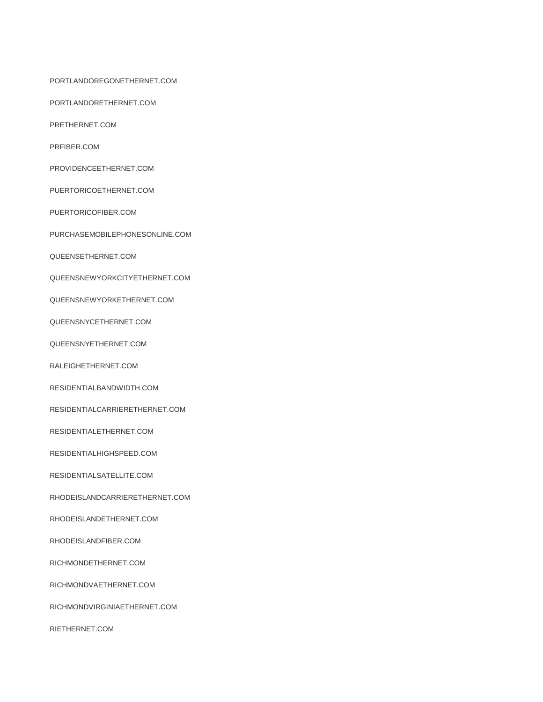PORTLANDOREGONETHERNET.COM

PORTLANDORETHERNET.COM

PRETHERNET.COM

PRFIBER.COM

PROVIDENCEETHERNET.COM

PUERTORICOETHERNET.COM

PUERTORICOFIBER.COM

PURCHASEMOBILEPHONESONLINE.COM

QUEENSETHERNET.COM

QUEENSNEWYORKCITYETHERNET.COM

QUEENSNEWYORKETHERNET.COM

QUEENSNYCETHERNET.COM

QUEENSNYETHERNET.COM

RALEIGHETHERNET.COM

RESIDENTIALBANDWIDTH.COM

RESIDENTIALCARRIERETHERNET.COM

RESIDENTIALETHERNET.COM

RESIDENTIALHIGHSPEED.COM

RESIDENTIALSATELLITE.COM

RHODEISLANDCARRIERETHERNET.COM

RHODEISLANDETHERNET.COM

RHODEISLANDFIBER.COM

RICHMONDETHERNET.COM

RICHMONDVAETHERNET.COM

RICHMONDVIRGINIAETHERNET.COM

RIETHERNET.COM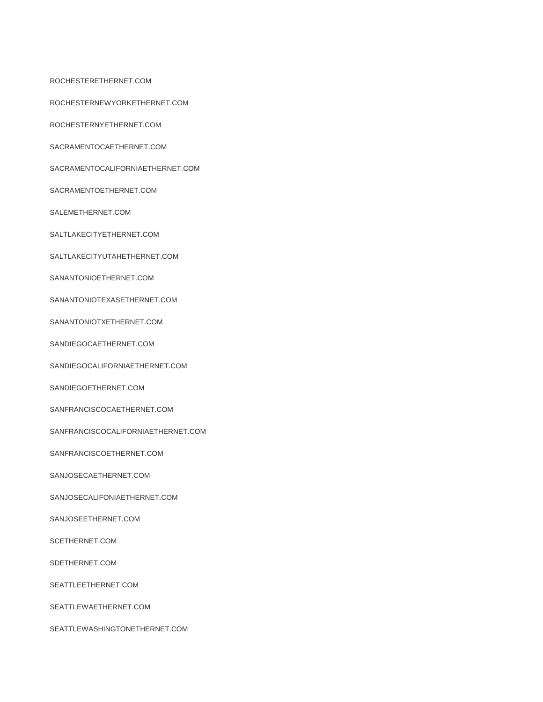ROCHESTERETHERNET.COM

ROCHESTERNEWYORKETHERNET.COM

ROCHESTERNYETHERNET.COM

SACRAMENTOCAETHERNET.COM

SACRAMENTOCALIFORNIAETHERNET.COM

SACRAMENTOETHERNET.COM

SALEMETHERNET.COM

SALTLAKECITYETHERNET.COM

SALTLAKECITYUTAHETHERNET.COM

SANANTONIOETHERNET.COM

SANANTONIOTEXASETHERNET.COM

SANANTONIOTXETHERNET.COM

SANDIEGOCAETHERNET.COM

SANDIEGOCALIFORNIAETHERNET.COM

SANDIEGOETHERNET.COM

SANFRANCISCOCAETHERNET.COM

SANFRANCISCOCALIFORNIAETHERNET.COM

SANFRANCISCOETHERNET.COM

SANJOSECAETHERNET.COM

SANJOSECALIFONIAETHERNET.COM

SANJOSEETHERNET.COM

SCETHERNET.COM

SDETHERNET.COM

SEATTLEETHERNET.COM

SEATTLEWAETHERNET.COM

SEATTLEWASHINGTONETHERNET.COM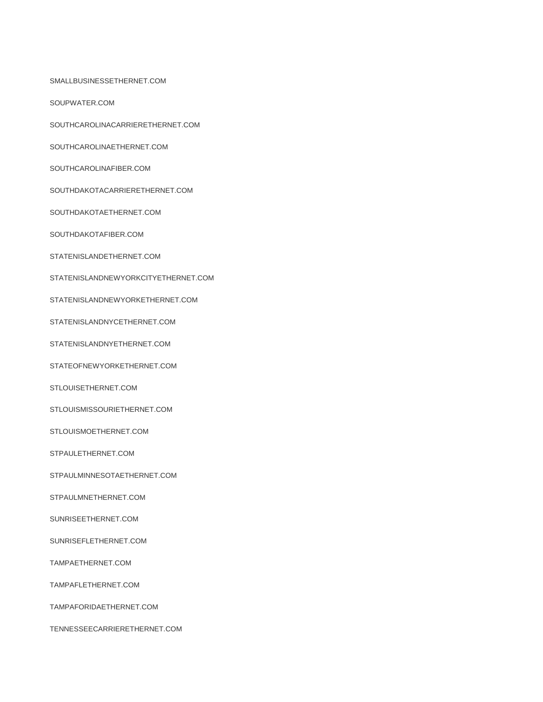SMALLBUSINESSETHERNET.COM

SOUPWATER.COM

SOUTHCAROLINACARRIERETHERNET.COM

SOUTHCAROLINAETHERNET.COM

SOUTHCAROLINAFIBER.COM

SOUTHDAKOTACARRIERETHERNET.COM

SOUTHDAKOTAETHERNET.COM

SOUTHDAKOTAFIBER.COM

STATENISLANDETHERNET.COM

STATENISLANDNEWYORKCITYETHERNET.COM

STATENISLANDNEWYORKETHERNET.COM

STATENISLANDNYCETHERNET.COM

STATENISLANDNYETHERNET.COM

STATEOFNEWYORKETHERNET.COM

STLOUISETHERNET.COM

STLOUISMISSOURIETHERNET.COM

STLOUISMOETHERNET.COM

STPAULETHERNET.COM

STPAULMINNESOTAETHERNET.COM

STPAULMNETHERNET.COM

SUNRISEETHERNET.COM

SUNRISEFLETHERNET.COM

TAMPAETHERNET.COM

TAMPAFLETHERNET.COM

TAMPAFORIDAETHERNET.COM

TENNESSEECARRIERETHERNET.COM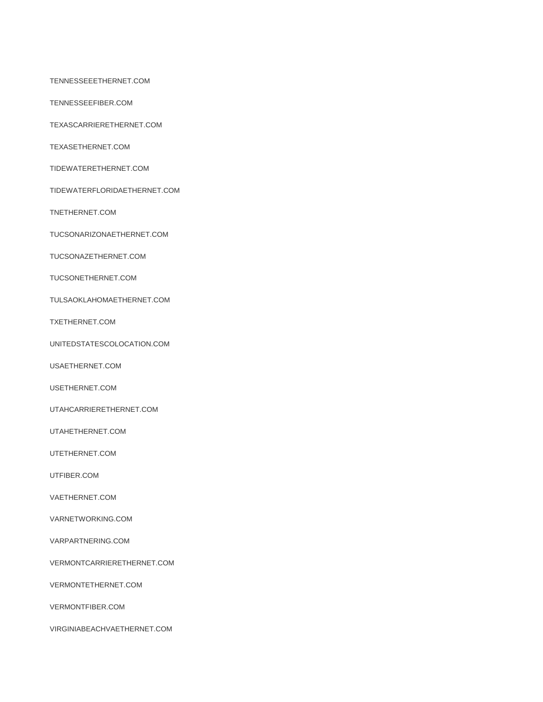TENNESSEEETHERNET.COM

TENNESSEEFIBER.COM

TEXASCARRIERETHERNET.COM

TEXASETHERNET.COM

TIDEWATERETHERNET.COM

TIDEWATERFLORIDAETHERNET.COM

TNETHERNET.COM

TUCSONARIZONAETHERNET.COM

TUCSONAZETHERNET.COM

TUCSONETHERNET.COM

TULSAOKLAHOMAETHERNET.COM

TXETHERNET.COM

UNITEDSTATESCOLOCATION.COM

USAETHERNET.COM

USETHERNET.COM

UTAHCARRIERETHERNET.COM

UTAHETHERNET.COM

UTETHERNET.COM

UTFIBER.COM

VAETHERNET.COM

VARNETWORKING.COM

VARPARTNERING.COM

VERMONTCARRIERETHERNET.COM

VERMONTETHERNET.COM

VERMONTFIBER.COM

VIRGINIABEACHVAETHERNET.COM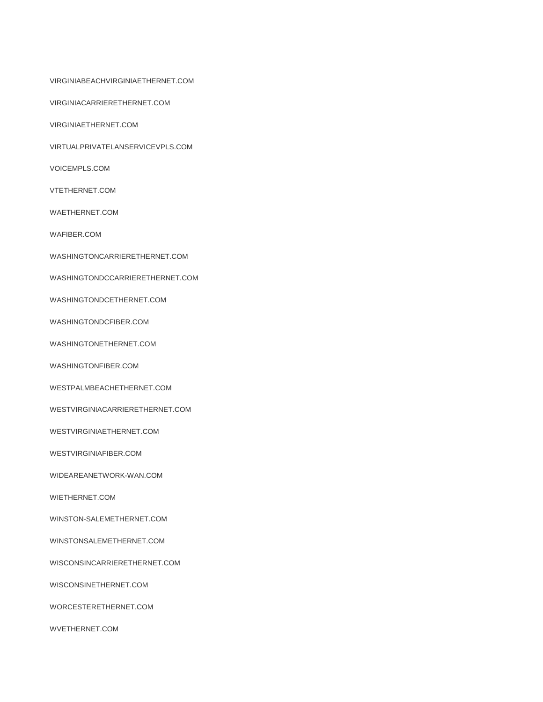VIRGINIABEACHVIRGINIAETHERNET.COM

VIRGINIACARRIERETHERNET.COM

VIRGINIAETHERNET.COM

VIRTUALPRIVATELANSERVICEVPLS.COM

VOICEMPLS.COM

VTETHERNET.COM

WAETHERNET.COM

WAFIBER.COM

WASHINGTONCARRIERETHERNET.COM

WASHINGTONDCCARRIERETHERNET.COM

WASHINGTONDCETHERNET.COM

WASHINGTONDCFIBER.COM

WASHINGTONETHERNET.COM

WASHINGTONFIBER.COM

WESTPALMBEACHETHERNET.COM

WESTVIRGINIACARRIERETHERNET.COM

WESTVIRGINIAETHERNET.COM

WESTVIRGINIAFIBER.COM

WIDEAREANETWORK-WAN.COM

WIETHERNET.COM

WINSTON-SALEMETHERNET.COM

WINSTONSALEMETHERNET.COM

WISCONSINCARRIERETHERNET.COM

WISCONSINETHERNET.COM

WORCESTERETHERNET.COM

WVETHERNET.COM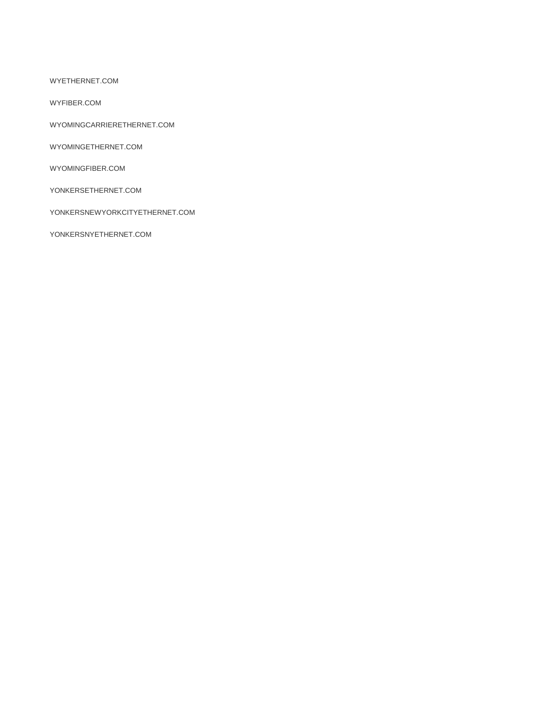WYETHERNET.COM

WYFIBER.COM

WYOMINGCARRIERETHERNET.COM

WYOMINGETHERNET.COM

WYOMINGFIBER.COM

YONKERSETHERNET.COM

YONKERSNEWYORKCITYETHERNET.COM

YONKERSNYETHERNET.COM